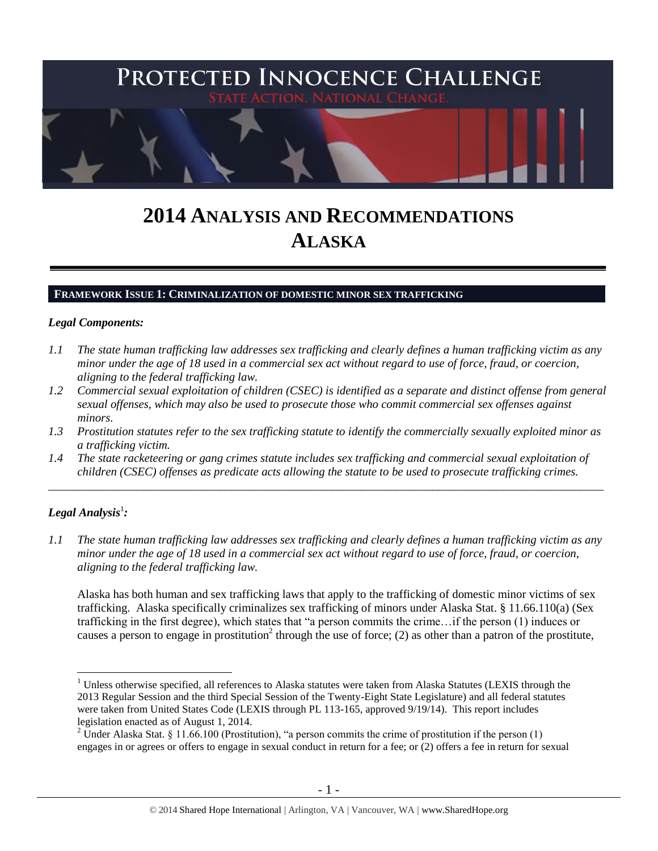

# **2014 ANALYSIS AND RECOMMENDATIONS ALASKA**

#### **FRAMEWORK ISSUE 1: CRIMINALIZATION OF DOMESTIC MINOR SEX TRAFFICKING**

#### *Legal Components:*

- *1.1 The state human trafficking law addresses sex trafficking and clearly defines a human trafficking victim as any minor under the age of 18 used in a commercial sex act without regard to use of force, fraud, or coercion, aligning to the federal trafficking law.*
- *1.2 Commercial sexual exploitation of children (CSEC) is identified as a separate and distinct offense from general sexual offenses, which may also be used to prosecute those who commit commercial sex offenses against minors.*
- *1.3 Prostitution statutes refer to the sex trafficking statute to identify the commercially sexually exploited minor as a trafficking victim.*
- *1.4 The state racketeering or gang crimes statute includes sex trafficking and commercial sexual exploitation of children (CSEC) offenses as predicate acts allowing the statute to be used to prosecute trafficking crimes.*

\_\_\_\_\_\_\_\_\_\_\_\_\_\_\_\_\_\_\_\_\_\_\_\_\_\_\_\_\_\_\_\_\_\_\_\_\_\_\_\_\_\_\_\_\_\_\_\_\_\_\_\_\_\_\_\_\_\_\_\_\_\_\_\_\_\_\_\_\_\_\_\_\_\_\_\_\_\_\_\_\_\_\_\_\_\_\_\_\_\_\_\_\_\_

# $\bm{\mathit{Legal\, Analysis^1}}$ :

<span id="page-0-0"></span> $\overline{a}$ 

*1.1 The state human trafficking law addresses sex trafficking and clearly defines a human trafficking victim as any minor under the age of 18 used in a commercial sex act without regard to use of force, fraud, or coercion, aligning to the federal trafficking law.*

Alaska has both human and sex trafficking laws that apply to the trafficking of domestic minor victims of sex trafficking. Alaska specifically criminalizes sex trafficking of minors under Alaska Stat. § 11.66.110(a) (Sex trafficking in the first degree), which states that "a person commits the crime…if the person (1) induces or causes a person to engage in prostitution<sup>2</sup> through the use of force; (2) as other than a patron of the prostitute,

 $<sup>1</sup>$  Unless otherwise specified, all references to Alaska statutes were taken from Alaska Statutes (LEXIS through the</sup> 2013 Regular Session and the third Special Session of the Twenty-Eight State Legislature) and all federal statutes were taken from United States Code (LEXIS through PL 113-165, approved 9/19/14). This report includes legislation enacted as of August 1, 2014.

<sup>&</sup>lt;sup>2</sup> Under Alaska Stat. § 11.66.100 (Prostitution), "a person commits the crime of prostitution if the person (1) engages in or agrees or offers to engage in sexual conduct in return for a fee; or (2) offers a fee in return for sexual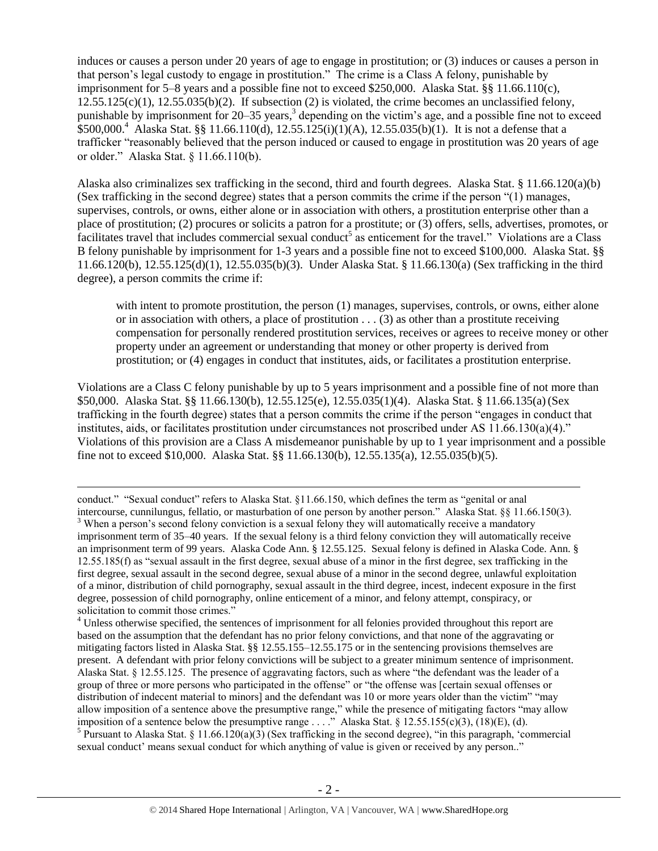<span id="page-1-0"></span>induces or causes a person under 20 years of age to engage in prostitution; or (3) induces or causes a person in that person's legal custody to engage in prostitution." The crime is a Class A felony, punishable by imprisonment for 5–8 years and a possible fine not to exceed \$250,000. Alaska Stat. §§ 11.66.110(c),  $12.55.125(c)(1)$ ,  $12.55.035(b)(2)$ . If subsection (2) is violated, the crime becomes an unclassified felony, punishable by imprisonment for 20–35 years,<sup>3</sup> depending on the victim's age, and a possible fine not to exceed  $$500,000.<sup>4</sup>$  Alaska Stat. §§ 11.66.110(d), 12.55.125(i)(1)(A), 12.55.035(b)(1). It is not a defense that a trafficker "reasonably believed that the person induced or caused to engage in prostitution was 20 years of age or older." Alaska Stat. § 11.66.110(b).

Alaska also criminalizes sex trafficking in the second, third and fourth degrees. Alaska Stat. § 11.66.120(a)(b) (Sex trafficking in the second degree) states that a person commits the crime if the person "(1) manages, supervises, controls, or owns, either alone or in association with others, a prostitution enterprise other than a place of prostitution; (2) procures or solicits a patron for a prostitute; or (3) offers, sells, advertises, promotes, or facilitates travel that includes commercial sexual conduct<sup>5</sup> as enticement for the travel." Violations are a Class B felony punishable by imprisonment for 1-3 years and a possible fine not to exceed \$100,000. Alaska Stat. §§ 11.66.120(b), 12.55.125(d)(1), 12.55.035(b)(3). Under Alaska Stat. § 11.66.130(a) (Sex trafficking in the third degree), a person commits the crime if:

with intent to promote prostitution, the person (1) manages, supervises, controls, or owns, either alone or in association with others, a place of prostitution . . . (3) as other than a prostitute receiving compensation for personally rendered prostitution services, receives or agrees to receive money or other property under an agreement or understanding that money or other property is derived from prostitution; or (4) engages in conduct that institutes, aids, or facilitates a prostitution enterprise.

Violations are a Class C felony punishable by up to 5 years imprisonment and a possible fine of not more than \$50,000. Alaska Stat. §§ 11.66.130(b), 12.55.125(e), 12.55.035(1)(4). Alaska Stat. § 11.66.135(a)(Sex trafficking in the fourth degree) states that a person commits the crime if the person "engages in conduct that institutes, aids, or facilitates prostitution under circumstances not proscribed under AS 11.66.130(a)(4)." Violations of this provision are a Class A misdemeanor punishable by up to 1 year imprisonment and a possible fine not to exceed \$10,000. Alaska Stat. §§ 11.66.130(b), 12.55.135(a), 12.55.035(b)(5).

 $\overline{a}$ 

<sup>5</sup> Pursuant to Alaska Stat. § 11.66.120(a)(3) (Sex trafficking in the second degree), "in this paragraph, 'commercial sexual conduct' means sexual conduct for which anything of value is given or received by any person.."

conduct." "Sexual conduct" refers to Alaska Stat. §11.66.150, which defines the term as "genital or anal intercourse, cunnilungus, fellatio, or masturbation of one person by another person." Alaska Stat. §§ 11.66.150(3). <sup>3</sup> When a person's second felony conviction is a sexual felony they will automatically receive a mandatory imprisonment term of 35–40 years. If the sexual felony is a third felony conviction they will automatically receive an imprisonment term of 99 years. Alaska Code Ann. § 12.55.125. Sexual felony is defined in Alaska Code. Ann. § 12.55.185(f) as "sexual assault in the first degree, sexual abuse of a minor in the first degree, sex trafficking in the first degree, sexual assault in the second degree, sexual abuse of a minor in the second degree, unlawful exploitation of a minor, distribution of child pornography, sexual assault in the third degree, incest, indecent exposure in the first degree, possession of child pornography, online enticement of a minor, and felony attempt, conspiracy, or solicitation to commit those crimes."

 $<sup>4</sup>$  Unless otherwise specified, the sentences of imprisonment for all felonies provided throughout this report are</sup> based on the assumption that the defendant has no prior felony convictions, and that none of the aggravating or mitigating factors listed in Alaska Stat. §§ 12.55.155–12.55.175 or in the sentencing provisions themselves are present. A defendant with prior felony convictions will be subject to a greater minimum sentence of imprisonment. Alaska Stat. § 12.55.125. The presence of aggravating factors, such as where "the defendant was the leader of a group of three or more persons who participated in the offense" or "the offense was [certain sexual offenses or distribution of indecent material to minors] and the defendant was 10 or more years older than the victim" "may allow imposition of a sentence above the presumptive range," while the presence of mitigating factors "may allow imposition of a sentence below the presumptive range . . . ." Alaska Stat. § 12.55.155(c)(3), (18)(E), (d).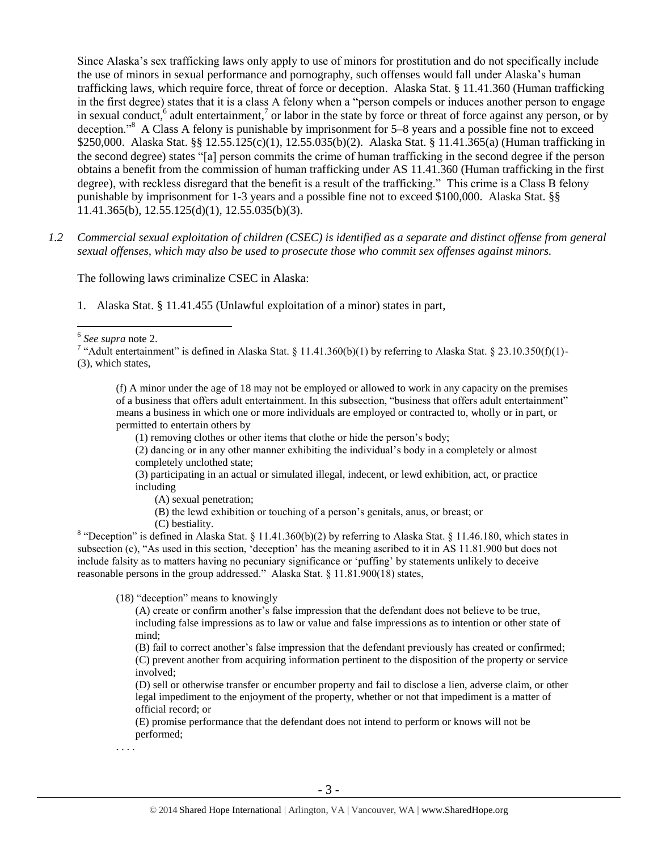Since Alaska's sex trafficking laws only apply to use of minors for prostitution and do not specifically include the use of minors in sexual performance and pornography, such offenses would fall under Alaska's human trafficking laws, which require force, threat of force or deception. Alaska Stat. § 11.41.360 (Human trafficking in the first degree) states that it is a class A felony when a "person compels or induces another person to engage in sexual conduct,  $6$  adult entertainment, $7$  or labor in the state by force or threat of force against any person, or by deception."<sup>8</sup> A Class A felony is punishable by imprisonment for 5–8 years and a possible fine not to exceed \$250,000. Alaska Stat. §§ 12.55.125(c)(1), 12.55.035(b)(2). Alaska Stat. § 11.41.365(a) (Human trafficking in the second degree) states "[a] person commits the crime of human trafficking in the second degree if the person obtains a benefit from the commission of human trafficking under AS 11.41.360 (Human trafficking in the first degree), with reckless disregard that the benefit is a result of the trafficking." This crime is a Class B felony punishable by imprisonment for 1-3 years and a possible fine not to exceed \$100,000. Alaska Stat. §§ 11.41.365(b), 12.55.125(d)(1), 12.55.035(b)(3).

*1.2 Commercial sexual exploitation of children (CSEC) is identified as a separate and distinct offense from general sexual offenses, which may also be used to prosecute those who commit sex offenses against minors.*

The following laws criminalize CSEC in Alaska:

1. Alaska Stat. § 11.41.455 (Unlawful exploitation of a minor) states in part,

6 *See supra* note [2.](#page-0-0)

 $\overline{a}$ 

(f) A minor under the age of 18 may not be employed or allowed to work in any capacity on the premises of a business that offers adult entertainment. In this subsection, "business that offers adult entertainment" means a business in which one or more individuals are employed or contracted to, wholly or in part, or permitted to entertain others by

(1) removing clothes or other items that clothe or hide the person's body;

(2) dancing or in any other manner exhibiting the individual's body in a completely or almost completely unclothed state;

(3) participating in an actual or simulated illegal, indecent, or lewd exhibition, act, or practice including

(A) sexual penetration;

(B) the lewd exhibition or touching of a person's genitals, anus, or breast; or

(C) bestiality.

<sup>8</sup> "Deception" is defined in Alaska Stat. § 11.41.360(b)(2) by referring to Alaska Stat. § 11.46.180, which states in subsection (c), "As used in this section, 'deception' has the meaning ascribed to it in AS 11.81.900 but does not include falsity as to matters having no pecuniary significance or 'puffing' by statements unlikely to deceive reasonable persons in the group addressed." Alaska Stat. § 11.81.900(18) states,

(18) "deception" means to knowingly

(A) create or confirm another's false impression that the defendant does not believe to be true, including false impressions as to law or value and false impressions as to intention or other state of mind;

(B) fail to correct another's false impression that the defendant previously has created or confirmed; (C) prevent another from acquiring information pertinent to the disposition of the property or service involved;

(D) sell or otherwise transfer or encumber property and fail to disclose a lien, adverse claim, or other legal impediment to the enjoyment of the property, whether or not that impediment is a matter of official record; or

(E) promise performance that the defendant does not intend to perform or knows will not be performed;

. . . .

<sup>&</sup>lt;sup>7</sup> "Adult entertainment" is defined in Alaska Stat. § 11.41.360(b)(1) by referring to Alaska Stat. § 23.10.350(f)(1)-(3), which states,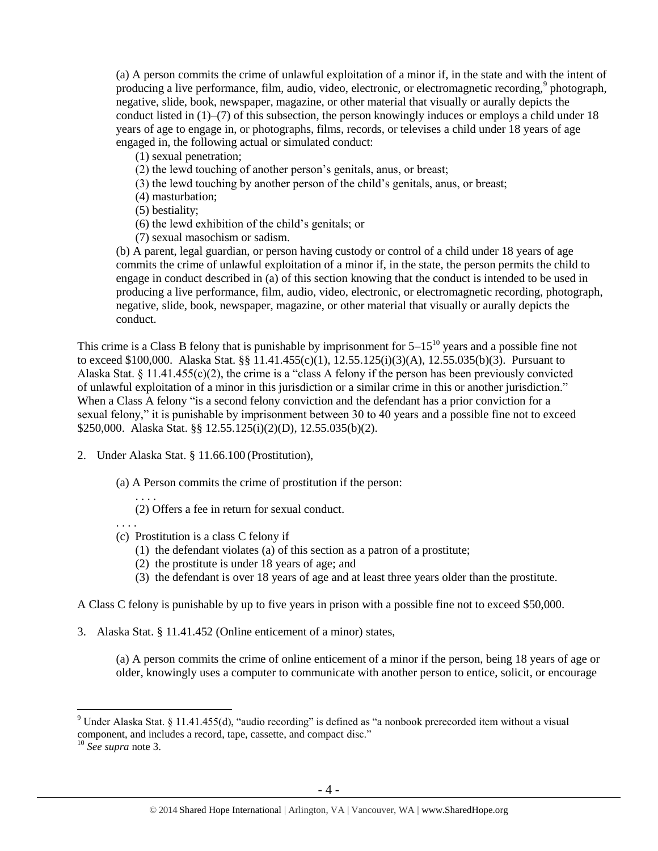(a) A person commits the crime of unlawful exploitation of a minor if, in the state and with the intent of producing a live performance, film, audio, video, electronic, or electromagnetic recording,<sup>9</sup> photograph, negative, slide, book, newspaper, magazine, or other material that visually or aurally depicts the conduct listed in  $(1)$ – $(7)$  of this subsection, the person knowingly induces or employs a child under 18 years of age to engage in, or photographs, films, records, or televises a child under 18 years of age engaged in, the following actual or simulated conduct:

(1) sexual penetration;

(2) the lewd touching of another person's genitals, anus, or breast;

(3) the lewd touching by another person of the child's genitals, anus, or breast;

(4) masturbation;

(5) bestiality;

- (6) the lewd exhibition of the child's genitals; or
- (7) sexual masochism or sadism.

(b) A parent, legal guardian, or person having custody or control of a child under 18 years of age commits the crime of unlawful exploitation of a minor if, in the state, the person permits the child to engage in conduct described in (a) of this section knowing that the conduct is intended to be used in producing a live performance, film, audio, video, electronic, or electromagnetic recording, photograph, negative, slide, book, newspaper, magazine, or other material that visually or aurally depicts the conduct.

This crime is a Class B felony that is punishable by imprisonment for  $5-15^{10}$  years and a possible fine not to exceed \$100,000. Alaska Stat. §§ 11.41.455(c)(1), 12.55.125(i)(3)(A), 12.55.035(b)(3). Pursuant to Alaska Stat.  $\S 11.41.455(c)(2)$ , the crime is a "class A felony if the person has been previously convicted of unlawful exploitation of a minor in this jurisdiction or a similar crime in this or another jurisdiction." When a Class A felony "is a second felony conviction and the defendant has a prior conviction for a sexual felony," it is punishable by imprisonment between 30 to 40 years and a possible fine not to exceed \$250,000. Alaska Stat. §§ 12.55.125(i)(2)(D), 12.55.035(b)(2).

2. Under Alaska Stat. § 11.66.100 (Prostitution),

(a) A Person commits the crime of prostitution if the person:

(2) Offers a fee in return for sexual conduct.

. . . .

. . . .

- (c) Prostitution is a class C felony if
	- (1) the defendant violates (a) of this section as a patron of a prostitute;
	- (2) the prostitute is under 18 years of age; and
	- (3) the defendant is over 18 years of age and at least three years older than the prostitute.

A Class C felony is punishable by up to five years in prison with a possible fine not to exceed \$50,000.

3. Alaska Stat. § 11.41.452 (Online enticement of a minor) states,

(a) A person commits the crime of online enticement of a minor if the person, being 18 years of age or older, knowingly uses a computer to communicate with another person to entice, solicit, or encourage

<sup>&</sup>lt;sup>9</sup> Under Alaska Stat. § 11.41.455(d), "audio recording" is defined as "a nonbook prerecorded item without a visual component, and includes a record, tape, cassette, and compact disc."

<sup>10</sup> *See supra* note [3.](#page-1-0)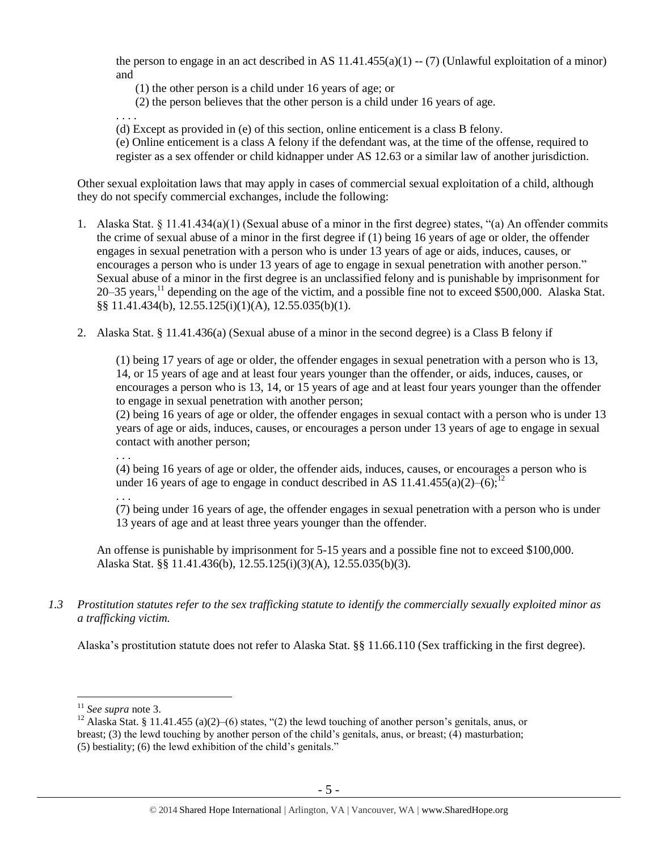the person to engage in an act described in AS  $11.41.455(a)(1) - (7)$  (Unlawful exploitation of a minor) and

(1) the other person is a child under 16 years of age; or

(2) the person believes that the other person is a child under 16 years of age.

. . . .

(d) Except as provided in (e) of this section, online enticement is a class B felony.

(e) Online enticement is a class A felony if the defendant was, at the time of the offense, required to register as a sex offender or child kidnapper under AS 12.63 or a similar law of another jurisdiction.

Other sexual exploitation laws that may apply in cases of commercial sexual exploitation of a child, although they do not specify commercial exchanges, include the following:

- 1. Alaska Stat. § 11.41.434(a)(1) (Sexual abuse of a minor in the first degree) states, "(a) An offender commits the crime of sexual abuse of a minor in the first degree if (1) being 16 years of age or older, the offender engages in sexual penetration with a person who is under 13 years of age or aids, induces, causes, or encourages a person who is under 13 years of age to engage in sexual penetration with another person." Sexual abuse of a minor in the first degree is an unclassified felony and is punishable by imprisonment for 20–35 years,  $^{11}$  depending on the age of the victim, and a possible fine not to exceed \$500,000. Alaska Stat. §§ 11.41.434(b), 12.55.125(i)(1)(A), 12.55.035(b)(1).
- 2. Alaska Stat. § 11.41.436(a) (Sexual abuse of a minor in the second degree) is a Class B felony if

(1) being 17 years of age or older, the offender engages in sexual penetration with a person who is 13, 14, or 15 years of age and at least four years younger than the offender, or aids, induces, causes, or encourages a person who is 13, 14, or 15 years of age and at least four years younger than the offender to engage in sexual penetration with another person;

(2) being 16 years of age or older, the offender engages in sexual contact with a person who is under 13 years of age or aids, induces, causes, or encourages a person under 13 years of age to engage in sexual contact with another person;

(4) being 16 years of age or older, the offender aids, induces, causes, or encourages a person who is under 16 years of age to engage in conduct described in AS 11.41.455(a)(2)–(6):<sup>12</sup>

. . .

. . .

(7) being under 16 years of age, the offender engages in sexual penetration with a person who is under 13 years of age and at least three years younger than the offender.

An offense is punishable by imprisonment for 5-15 years and a possible fine not to exceed \$100,000. Alaska Stat. §§ 11.41.436(b), 12.55.125(i)(3)(A), 12.55.035(b)(3).

*1.3 Prostitution statutes refer to the sex trafficking statute to identify the commercially sexually exploited minor as a trafficking victim.* 

Alaska's prostitution statute does not refer to Alaska Stat. §§ 11.66.110 (Sex trafficking in the first degree).

<sup>11</sup> *See supra* note [3.](#page-1-0)

<sup>&</sup>lt;sup>12</sup> Alaska Stat. § 11.41.455 (a)(2)–(6) states, "(2) the lewd touching of another person's genitals, anus, or breast; (3) the lewd touching by another person of the child's genitals, anus, or breast; (4) masturbation; (5) bestiality; (6) the lewd exhibition of the child's genitals."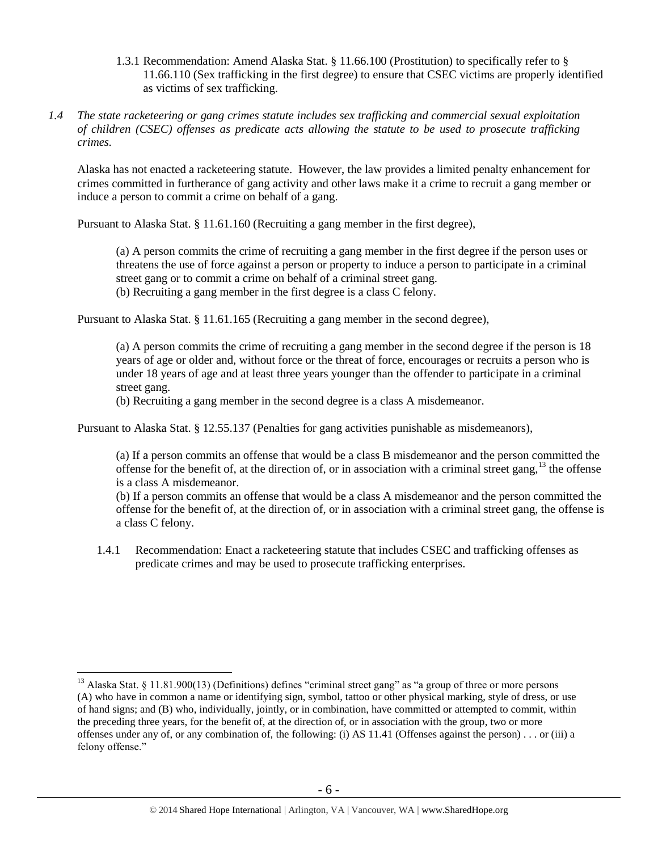- 1.3.1 Recommendation: Amend Alaska Stat. § 11.66.100 (Prostitution) to specifically refer to § 11.66.110 (Sex trafficking in the first degree) to ensure that CSEC victims are properly identified as victims of sex trafficking.
- *1.4 The state racketeering or gang crimes statute includes sex trafficking and commercial sexual exploitation of children (CSEC) offenses as predicate acts allowing the statute to be used to prosecute trafficking crimes.*

Alaska has not enacted a racketeering statute. However, the law provides a limited penalty enhancement for crimes committed in furtherance of gang activity and other laws make it a crime to recruit a gang member or induce a person to commit a crime on behalf of a gang.

Pursuant to Alaska Stat. § 11.61.160 (Recruiting a gang member in the first degree),

(a) A person commits the crime of recruiting a gang member in the first degree if the person uses or threatens the use of force against a person or property to induce a person to participate in a criminal street gang or to commit a crime on behalf of a criminal street gang.

(b) Recruiting a gang member in the first degree is a class C felony.

Pursuant to Alaska Stat. § 11.61.165 (Recruiting a gang member in the second degree),

(a) A person commits the crime of recruiting a gang member in the second degree if the person is 18 years of age or older and, without force or the threat of force, encourages or recruits a person who is under 18 years of age and at least three years younger than the offender to participate in a criminal street gang.

(b) Recruiting a gang member in the second degree is a class A misdemeanor.

Pursuant to Alaska Stat. § 12.55.137 (Penalties for gang activities punishable as misdemeanors),

(a) If a person commits an offense that would be a class B misdemeanor and the person committed the offense for the benefit of, at the direction of, or in association with a criminal street gang,  $^{13}$  the offense is a class A misdemeanor.

(b) If a person commits an offense that would be a class A misdemeanor and the person committed the offense for the benefit of, at the direction of, or in association with a criminal street gang, the offense is a class C felony.

1.4.1 Recommendation: Enact a racketeering statute that includes CSEC and trafficking offenses as predicate crimes and may be used to prosecute trafficking enterprises.

<sup>&</sup>lt;sup>13</sup> Alaska Stat. § 11.81.900(13) (Definitions) defines "criminal street gang" as "a group of three or more persons (A) who have in common a name or identifying sign, symbol, tattoo or other physical marking, style of dress, or use of hand signs; and (B) who, individually, jointly, or in combination, have committed or attempted to commit, within the preceding three years, for the benefit of, at the direction of, or in association with the group, two or more offenses under any of, or any combination of, the following: (i) AS 11.41 (Offenses against the person) . . . or (iii) a felony offense."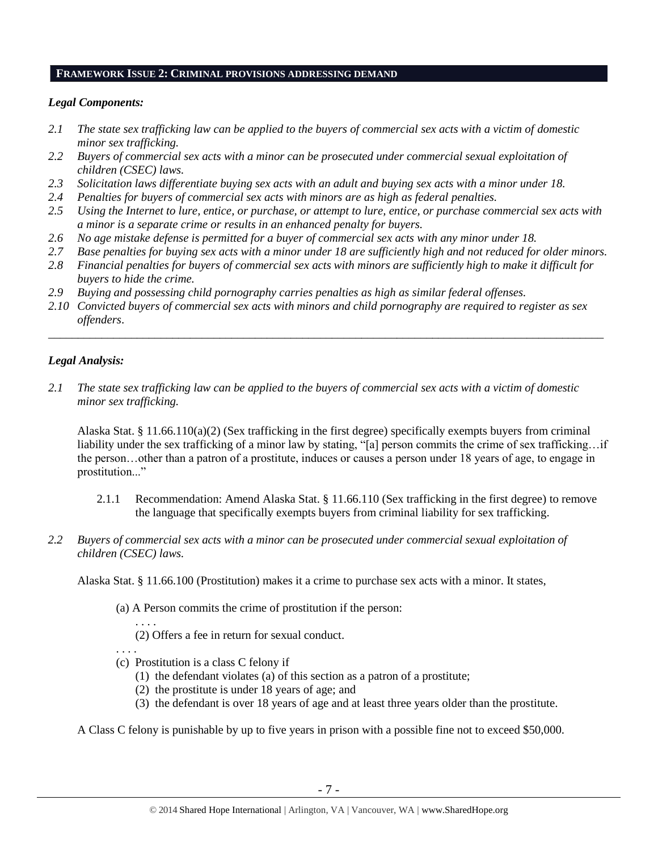#### **FRAMEWORK ISSUE 2: CRIMINAL PROVISIONS ADDRESSING DEMAND**

## *Legal Components:*

- *2.1 The state sex trafficking law can be applied to the buyers of commercial sex acts with a victim of domestic minor sex trafficking.*
- *2.2 Buyers of commercial sex acts with a minor can be prosecuted under commercial sexual exploitation of children (CSEC) laws.*
- *2.3 Solicitation laws differentiate buying sex acts with an adult and buying sex acts with a minor under 18.*
- *2.4 Penalties for buyers of commercial sex acts with minors are as high as federal penalties.*
- *2.5 Using the Internet to lure, entice, or purchase, or attempt to lure, entice, or purchase commercial sex acts with a minor is a separate crime or results in an enhanced penalty for buyers.*
- *2.6 No age mistake defense is permitted for a buyer of commercial sex acts with any minor under 18.*
- *2.7 Base penalties for buying sex acts with a minor under 18 are sufficiently high and not reduced for older minors.*
- *2.8 Financial penalties for buyers of commercial sex acts with minors are sufficiently high to make it difficult for buyers to hide the crime.*
- *2.9 Buying and possessing child pornography carries penalties as high as similar federal offenses.*
- *2.10 Convicted buyers of commercial sex acts with minors and child pornography are required to register as sex offenders*.

\_\_\_\_\_\_\_\_\_\_\_\_\_\_\_\_\_\_\_\_\_\_\_\_\_\_\_\_\_\_\_\_\_\_\_\_\_\_\_\_\_\_\_\_\_\_\_\_\_\_\_\_\_\_\_\_\_\_\_\_\_\_\_\_\_\_\_\_\_\_\_\_\_\_\_\_\_\_\_\_\_\_\_\_\_\_\_\_\_\_\_\_\_\_

## *Legal Analysis:*

*2.1 The state sex trafficking law can be applied to the buyers of commercial sex acts with a victim of domestic minor sex trafficking.*

Alaska Stat. § 11.66.110(a)(2) (Sex trafficking in the first degree) specifically exempts buyers from criminal liability under the sex trafficking of a minor law by stating, "[a] person commits the crime of sex trafficking…if the person…other than a patron of a prostitute, induces or causes a person under 18 years of age, to engage in prostitution..."

- 2.1.1 Recommendation: Amend Alaska Stat. § 11.66.110 (Sex trafficking in the first degree) to remove the language that specifically exempts buyers from criminal liability for sex trafficking.
- *2.2 Buyers of commercial sex acts with a minor can be prosecuted under commercial sexual exploitation of children (CSEC) laws.*

Alaska Stat. § 11.66.100 (Prostitution) makes it a crime to purchase sex acts with a minor. It states,

(a) A Person commits the crime of prostitution if the person:

. . . . (2) Offers a fee in return for sexual conduct.

. . . .

- (c) Prostitution is a class C felony if
	- (1) the defendant violates (a) of this section as a patron of a prostitute;
	- (2) the prostitute is under 18 years of age; and
	- (3) the defendant is over 18 years of age and at least three years older than the prostitute.

A Class C felony is punishable by up to five years in prison with a possible fine not to exceed \$50,000.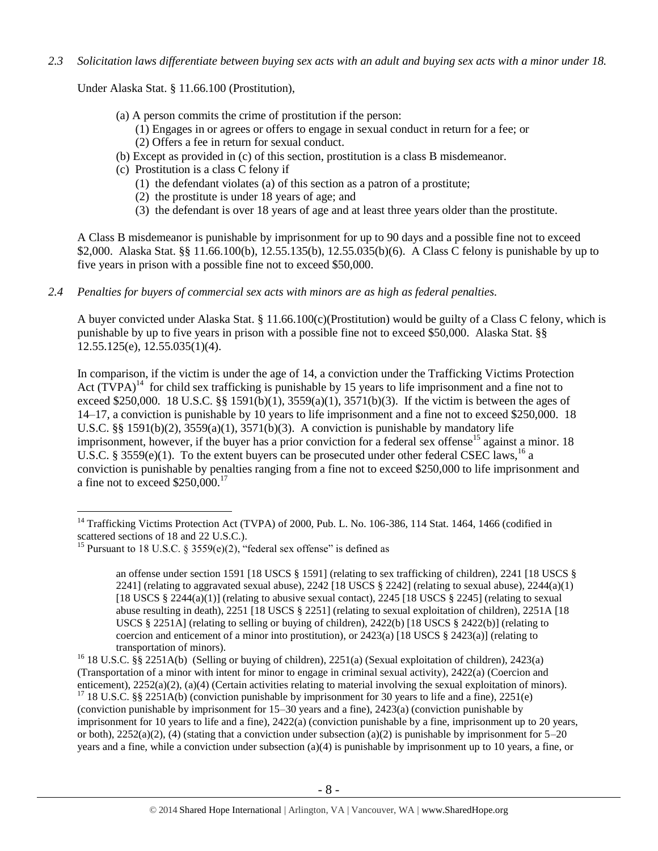*2.3 Solicitation laws differentiate between buying sex acts with an adult and buying sex acts with a minor under 18.*

Under Alaska Stat. § 11.66.100 (Prostitution),

- (a) A person commits the crime of prostitution if the person:
	- (1) Engages in or agrees or offers to engage in sexual conduct in return for a fee; or
	- (2) Offers a fee in return for sexual conduct.
- (b) Except as provided in (c) of this section, prostitution is a class B misdemeanor.
- (c) Prostitution is a class C felony if
	- (1) the defendant violates (a) of this section as a patron of a prostitute;
	- (2) the prostitute is under 18 years of age; and
	- (3) the defendant is over 18 years of age and at least three years older than the prostitute.

A Class B misdemeanor is punishable by imprisonment for up to 90 days and a possible fine not to exceed \$2,000. Alaska Stat. §§ 11.66.100(b), 12.55.135(b), 12.55.035(b)(6). A Class C felony is punishable by up to five years in prison with a possible fine not to exceed \$50,000.

*2.4 Penalties for buyers of commercial sex acts with minors are as high as federal penalties.*

A buyer convicted under Alaska Stat. § 11.66.100(c)(Prostitution) would be guilty of a Class C felony, which is punishable by up to five years in prison with a possible fine not to exceed \$50,000. Alaska Stat. §§ 12.55.125(e), 12.55.035(1)(4).

<span id="page-7-0"></span>In comparison, if the victim is under the age of 14, a conviction under the Trafficking Victims Protection Act  $(T\hat{V}PA)^{14}$  for child sex trafficking is punishable by 15 years to life imprisonment and a fine not to exceed \$250,000. 18 U.S.C. §§ 1591(b)(1), 3559(a)(1), 3571(b)(3). If the victim is between the ages of 14–17, a conviction is punishable by 10 years to life imprisonment and a fine not to exceed \$250,000. 18 U.S.C. §§ 1591(b)(2),  $3559(a)(1)$ ,  $3571(b)(3)$ . A conviction is punishable by mandatory life imprisonment, however, if the buyer has a prior conviction for a federal sex offense<sup>15</sup> against a minor. 18 U.S.C. § 3559 $(e)(1)$ . To the extent buyers can be prosecuted under other federal CSEC laws,<sup>16</sup> a conviction is punishable by penalties ranging from a fine not to exceed \$250,000 to life imprisonment and a fine not to exceed  $$250,000$ .<sup>17</sup>

<sup>&</sup>lt;sup>14</sup> Trafficking Victims Protection Act (TVPA) of 2000, Pub. L. No. 106-386, 114 Stat. 1464, 1466 (codified in scattered sections of 18 and 22 U.S.C.).

<sup>&</sup>lt;sup>15</sup> Pursuant to 18 U.S.C.  $\frac{15}{2559(e)(2)}$ , "federal sex offense" is defined as

<span id="page-7-1"></span>an offense under section 1591 [18 USCS § 1591] (relating to sex trafficking of children), 2241 [18 USCS § 2241] (relating to aggravated sexual abuse), 2242 [18 USCS  $\S$  2242] (relating to sexual abuse), 2244(a)(1) [18 USCS  $\S$  2244(a)(1)] (relating to abusive sexual contact), 2245 [18 USCS  $\S$  2245] (relating to sexual abuse resulting in death), 2251 [18 USCS § 2251] (relating to sexual exploitation of children), 2251A [18 USCS § 2251A] (relating to selling or buying of children),  $2422(b)$  [18 USCS § 2422(b)] (relating to coercion and enticement of a minor into prostitution), or  $2423(a)$  [18 USCS §  $2423(a)$ ] (relating to transportation of minors).

<sup>&</sup>lt;sup>16</sup> 18 U.S.C. §§ 2251A(b) (Selling or buying of children), 2251(a) (Sexual exploitation of children), 2423(a) (Transportation of a minor with intent for minor to engage in criminal sexual activity), 2422(a) (Coercion and enticement), 2252(a)(2), (a)(4) (Certain activities relating to material involving the sexual exploitation of minors). <sup>17</sup> 18 U.S.C. §§ 2251A(b) (conviction punishable by imprisonment for 30 years to life and a fine), 2251(e) (conviction punishable by imprisonment for 15–30 years and a fine), 2423(a) (conviction punishable by imprisonment for 10 years to life and a fine), 2422(a) (conviction punishable by a fine, imprisonment up to 20 years, or both),  $2252(a)(2)$ , (4) (stating that a conviction under subsection (a)(2) is punishable by imprisonment for  $5-20$ years and a fine, while a conviction under subsection (a)(4) is punishable by imprisonment up to 10 years, a fine, or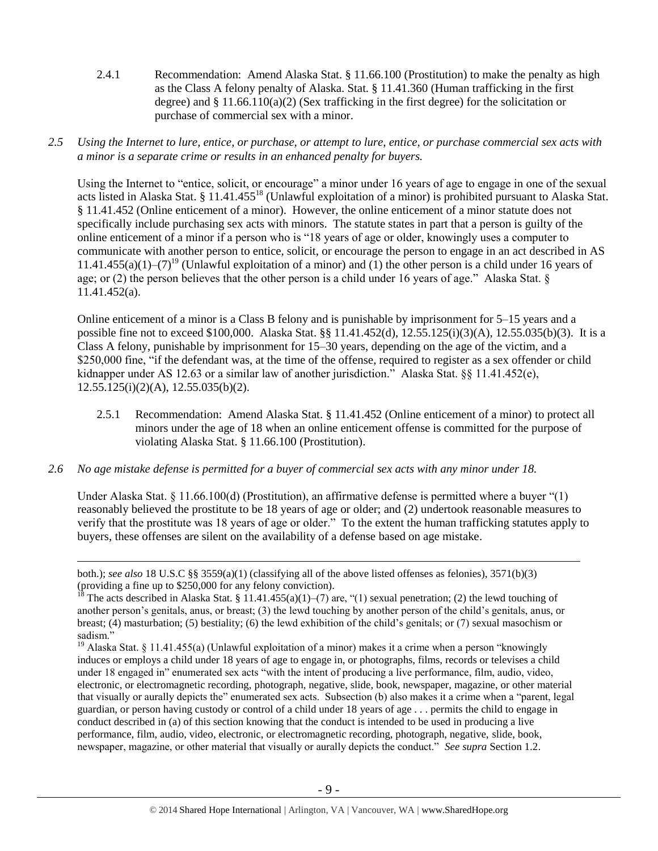- 2.4.1 Recommendation: Amend Alaska Stat. § 11.66.100 (Prostitution) to make the penalty as high as the Class A felony penalty of Alaska. Stat. § 11.41.360 (Human trafficking in the first degree) and  $\S 11.66.110(a)(2)$  (Sex trafficking in the first degree) for the solicitation or purchase of commercial sex with a minor.
- *2.5 Using the Internet to lure, entice, or purchase, or attempt to lure, entice, or purchase commercial sex acts with a minor is a separate crime or results in an enhanced penalty for buyers.*

Using the Internet to "entice, solicit, or encourage" a minor under 16 years of age to engage in one of the sexual acts listed in Alaska Stat. § 11.41.455<sup>18</sup> (Unlawful exploitation of a minor) is prohibited pursuant to Alaska Stat. § 11.41.452 (Online enticement of a minor). However, the online enticement of a minor statute does not specifically include purchasing sex acts with minors. The statute states in part that a person is guilty of the online enticement of a minor if a person who is "18 years of age or older, knowingly uses a computer to communicate with another person to entice, solicit, or encourage the person to engage in an act described in AS 11.41.455(a)(1)–(7)<sup>19</sup> (Unlawful exploitation of a minor) and (1) the other person is a child under 16 years of age; or (2) the person believes that the other person is a child under 16 years of age." Alaska Stat. § 11.41.452(a).

Online enticement of a minor is a Class B felony and is punishable by imprisonment for 5–15 years and a possible fine not to exceed \$100,000. Alaska Stat. §§ 11.41.452(d), 12.55.125(i)(3)(A), 12.55.035(b)(3). It is a Class A felony, punishable by imprisonment for 15–30 years, depending on the age of the victim, and a \$250,000 fine, "if the defendant was, at the time of the offense, required to register as a sex offender or child kidnapper under AS 12.63 or a similar law of another jurisdiction.<sup>3</sup> Alaska Stat. §§ 11.41.452(e),  $12.55.125(i)(2)(A)$ ,  $12.55.035(b)(2)$ .

- 2.5.1 Recommendation: Amend Alaska Stat. § 11.41.452 (Online enticement of a minor) to protect all minors under the age of 18 when an online enticement offense is committed for the purpose of violating Alaska Stat. § 11.66.100 (Prostitution).
- *2.6 No age mistake defense is permitted for a buyer of commercial sex acts with any minor under 18.*

 $\overline{a}$ 

Under Alaska Stat. § 11.66.100(d) (Prostitution), an affirmative defense is permitted where a buyer "(1) reasonably believed the prostitute to be 18 years of age or older; and (2) undertook reasonable measures to verify that the prostitute was 18 years of age or older." To the extent the human trafficking statutes apply to buyers, these offenses are silent on the availability of a defense based on age mistake.

both.); *see also* 18 U.S.C §§ 3559(a)(1) (classifying all of the above listed offenses as felonies), 3571(b)(3) (providing a fine up to \$250,000 for any felony conviction).

<sup>&</sup>lt;sup>18</sup> The acts described in Alaska Stat. § 11.41.455(a)(1)–(7) are, "(1) sexual penetration; (2) the lewd touching of another person's genitals, anus, or breast; (3) the lewd touching by another person of the child's genitals, anus, or breast; (4) masturbation; (5) bestiality; (6) the lewd exhibition of the child's genitals; or (7) sexual masochism or sadism."

<sup>&</sup>lt;sup>19</sup> Alaska Stat. § 11.41.455(a) (Unlawful exploitation of a minor) makes it a crime when a person "knowingly induces or employs a child under 18 years of age to engage in, or photographs, films, records or televises a child under 18 engaged in" enumerated sex acts "with the intent of producing a live performance, film, audio, video, electronic, or electromagnetic recording, photograph, negative, slide, book, newspaper, magazine, or other material that visually or aurally depicts the" enumerated sex acts. Subsection (b) also makes it a crime when a "parent, legal guardian, or person having custody or control of a child under 18 years of age . . . permits the child to engage in conduct described in (a) of this section knowing that the conduct is intended to be used in producing a live performance, film, audio, video, electronic, or electromagnetic recording, photograph, negative, slide, book, newspaper, magazine, or other material that visually or aurally depicts the conduct." *See supra* Section 1.2.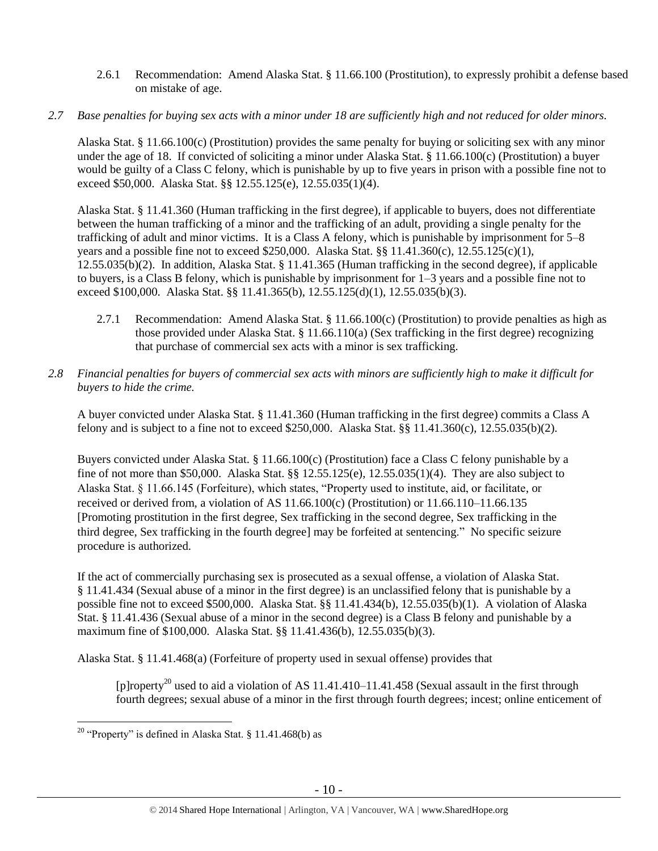- 2.6.1 Recommendation: Amend Alaska Stat. § 11.66.100 (Prostitution), to expressly prohibit a defense based on mistake of age.
- *2.7 Base penalties for buying sex acts with a minor under 18 are sufficiently high and not reduced for older minors.*

Alaska Stat. § 11.66.100(c) (Prostitution) provides the same penalty for buying or soliciting sex with any minor under the age of 18. If convicted of soliciting a minor under Alaska Stat. § 11.66.100(c) (Prostitution) a buyer would be guilty of a Class C felony, which is punishable by up to five years in prison with a possible fine not to exceed \$50,000. Alaska Stat. §§ 12.55.125(e), 12.55.035(1)(4).

Alaska Stat. § 11.41.360 (Human trafficking in the first degree), if applicable to buyers, does not differentiate between the human trafficking of a minor and the trafficking of an adult, providing a single penalty for the trafficking of adult and minor victims. It is a Class A felony, which is punishable by imprisonment for 5–8 years and a possible fine not to exceed \$250,000. Alaska Stat. §§ 11.41.360(c), 12.55.125(c)(1), 12.55.035(b)(2). In addition, Alaska Stat. § 11.41.365 (Human trafficking in the second degree), if applicable to buyers, is a Class B felony, which is punishable by imprisonment for 1–3 years and a possible fine not to exceed \$100,000. Alaska Stat. §§ 11.41.365(b), 12.55.125(d)(1), 12.55.035(b)(3).

- 2.7.1 Recommendation: Amend Alaska Stat. § 11.66.100(c) (Prostitution) to provide penalties as high as those provided under Alaska Stat. § 11.66.110(a) (Sex trafficking in the first degree) recognizing that purchase of commercial sex acts with a minor is sex trafficking.
- *2.8 Financial penalties for buyers of commercial sex acts with minors are sufficiently high to make it difficult for buyers to hide the crime.*

A buyer convicted under Alaska Stat. § 11.41.360 (Human trafficking in the first degree) commits a Class A felony and is subject to a fine not to exceed \$250,000. Alaska Stat. §§ 11.41.360(c), 12.55.035(b)(2).

Buyers convicted under Alaska Stat. § 11.66.100(c) (Prostitution) face a Class C felony punishable by a fine of not more than \$50,000. Alaska Stat. §§ 12.55.125(e), 12.55.035(1)(4). They are also subject to Alaska Stat. § 11.66.145 (Forfeiture), which states, "Property used to institute, aid, or facilitate, or received or derived from, a violation of AS  $11.66.100(c)$  (Prostitution) or  $11.66.110-11.66.135$ [Promoting prostitution in the first degree, Sex trafficking in the second degree, Sex trafficking in the third degree, Sex trafficking in the fourth degree] may be forfeited at sentencing." No specific seizure procedure is authorized.

If the act of commercially purchasing sex is prosecuted as a sexual offense, a violation of Alaska Stat. § 11.41.434 (Sexual abuse of a minor in the first degree) is an unclassified felony that is punishable by a possible fine not to exceed \$500,000. Alaska Stat. §§ 11.41.434(b), 12.55.035(b)(1). A violation of Alaska Stat. § 11.41.436 (Sexual abuse of a minor in the second degree) is a Class B felony and punishable by a maximum fine of \$100,000. Alaska Stat. §§ 11.41.436(b), 12.55.035(b)(3).

Alaska Stat. § 11.41.468(a) (Forfeiture of property used in sexual offense) provides that

<span id="page-9-0"></span>[p]roperty<sup>20</sup> used to aid a violation of AS 11.41.410–11.41.458 (Sexual assault in the first through fourth degrees; sexual abuse of a minor in the first through fourth degrees; incest; online enticement of

<sup>&</sup>lt;sup>20</sup> "Property" is defined in Alaska Stat. § 11.41.468(b) as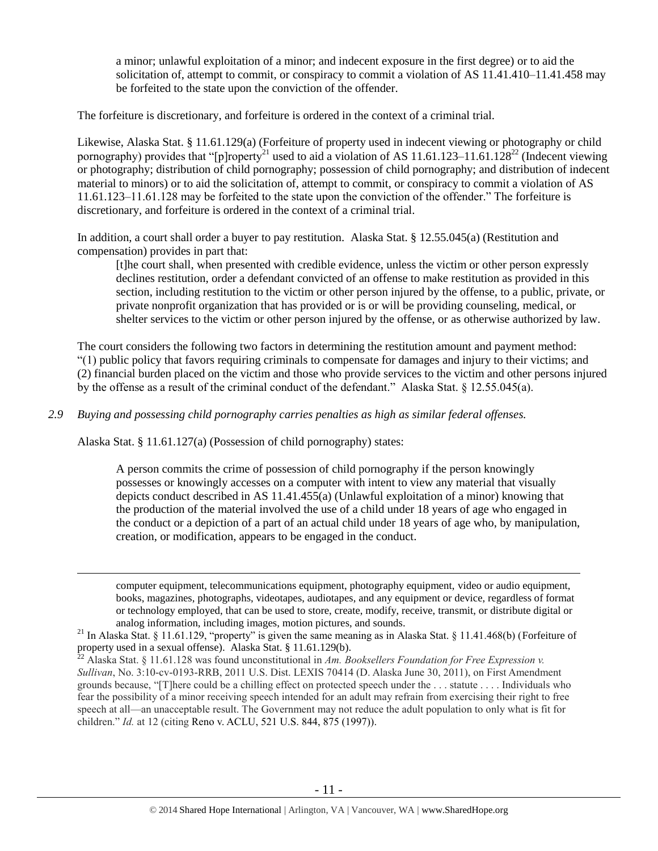<span id="page-10-0"></span>a minor; unlawful exploitation of a minor; and indecent exposure in the first degree) or to aid the solicitation of, attempt to commit, or conspiracy to commit a violation of AS 11.41.410–11.41.458 may be forfeited to the state upon the conviction of the offender.

The forfeiture is discretionary, and forfeiture is ordered in the context of a criminal trial.

Likewise, Alaska Stat. § 11.61.129(a) (Forfeiture of property used in indecent viewing or photography or child pornography) provides that "[p]roperty<sup>21</sup> used to aid a violation of AS 11.61.123–11.61.128<sup>22</sup> (Indecent viewing or photography; distribution of child pornography; possession of child pornography; and distribution of indecent material to minors) or to aid the solicitation of, attempt to commit, or conspiracy to commit a violation of AS 11.61.123–11.61.128 may be forfeited to the state upon the conviction of the offender." The forfeiture is discretionary, and forfeiture is ordered in the context of a criminal trial.

In addition, a court shall order a buyer to pay restitution. Alaska Stat. § 12.55.045(a) (Restitution and compensation) provides in part that:

[t]he court shall, when presented with credible evidence, unless the victim or other person expressly declines restitution, order a defendant convicted of an offense to make restitution as provided in this section, including restitution to the victim or other person injured by the offense, to a public, private, or private nonprofit organization that has provided or is or will be providing counseling, medical, or shelter services to the victim or other person injured by the offense, or as otherwise authorized by law.

The court considers the following two factors in determining the restitution amount and payment method: "(1) public policy that favors requiring criminals to compensate for damages and injury to their victims; and (2) financial burden placed on the victim and those who provide services to the victim and other persons injured by the offense as a result of the criminal conduct of the defendant." Alaska Stat. § 12.55.045(a).

*2.9 Buying and possessing child pornography carries penalties as high as similar federal offenses.*

Alaska Stat. § 11.61.127(a) (Possession of child pornography) states:

 $\overline{a}$ 

A person commits the crime of possession of child pornography if the person knowingly possesses or knowingly accesses on a computer with intent to view any material that visually depicts conduct described in AS 11.41.455(a) (Unlawful exploitation of a minor) knowing that the production of the material involved the use of a child under 18 years of age who engaged in the conduct or a depiction of a part of an actual child under 18 years of age who, by manipulation, creation, or modification, appears to be engaged in the conduct.

computer equipment, telecommunications equipment, photography equipment, video or audio equipment, books, magazines, photographs, videotapes, audiotapes, and any equipment or device, regardless of format or technology employed, that can be used to store, create, modify, receive, transmit, or distribute digital or analog information, including images, motion pictures, and sounds.

<sup>22</sup> Alaska Stat. § 11.61.128 was found unconstitutional in *Am. Booksellers Foundation for Free Expression v. Sullivan*, No. 3:10-cv-0193-RRB, 2011 U.S. Dist. LEXIS 70414 (D. Alaska June 30, 2011), on First Amendment grounds because, "[T]here could be a chilling effect on protected speech under the . . . statute . . . . Individuals who fear the possibility of a minor receiving speech intended for an adult may refrain from exercising their right to free speech at all—an unacceptable result. The Government may not reduce the adult population to only what is fit for children." *Id.* at 12 (citing Reno v. ACLU, 521 U.S. 844, 875 (1997)).

<sup>&</sup>lt;sup>21</sup> In Alaska Stat. § 11.61.129, "property" is given the same meaning as in Alaska Stat. § 11.41.468(b) (Forfeiture of property used in a sexual offense). Alaska Stat. § 11.61.129(b).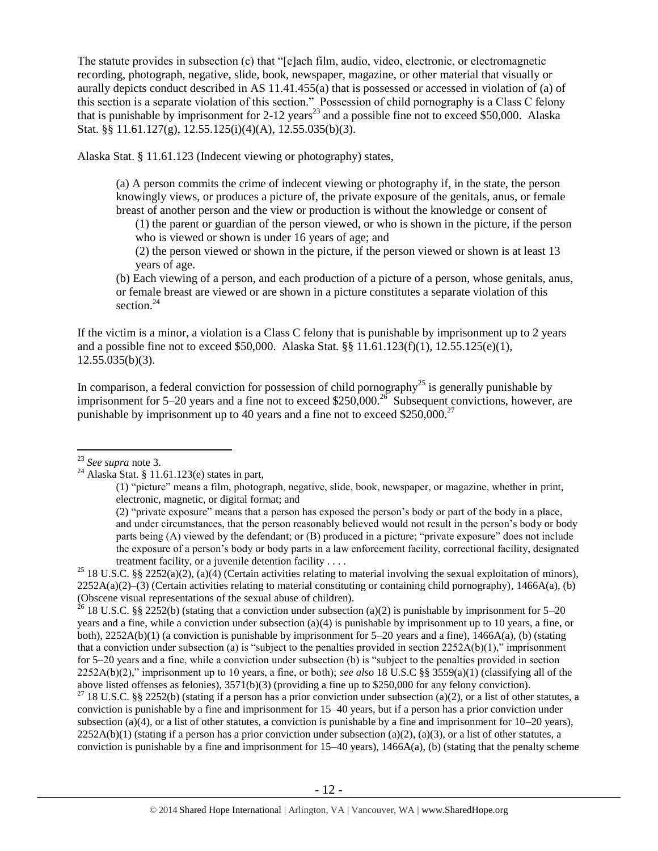The statute provides in subsection (c) that "[e]ach film, audio, video, electronic, or electromagnetic recording, photograph, negative, slide, book, newspaper, magazine, or other material that visually or aurally depicts conduct described in AS 11.41.455(a) that is possessed or accessed in violation of (a) of this section is a separate violation of this section." Possession of child pornography is a Class C felony that is punishable by imprisonment for  $2-12$  years<sup>23</sup> and a possible fine not to exceed \$50,000. Alaska Stat. §§ 11.61.127(g), 12.55.125(i)(4)(A), 12.55.035(b)(3).

Alaska Stat. § 11.61.123 (Indecent viewing or photography) states,

(a) A person commits the crime of indecent viewing or photography if, in the state, the person knowingly views, or produces a picture of, the private exposure of the genitals, anus, or female breast of another person and the view or production is without the knowledge or consent of

(1) the parent or guardian of the person viewed, or who is shown in the picture, if the person who is viewed or shown is under 16 years of age; and

(2) the person viewed or shown in the picture, if the person viewed or shown is at least 13 years of age.

<span id="page-11-0"></span>(b) Each viewing of a person, and each production of a picture of a person, whose genitals, anus, or female breast are viewed or are shown in a picture constitutes a separate violation of this section.<sup>24</sup>

If the victim is a minor, a violation is a Class C felony that is punishable by imprisonment up to 2 years and a possible fine not to exceed \$50,000. Alaska Stat. §§ 11.61.123(f)(1), 12.55.125(e)(1),  $12.55.035(b)(3)$ .

In comparison, a federal conviction for possession of child pornography<sup>25</sup> is generally punishable by imprisonment for 5–20 years and a fine not to exceed \$250,000.<sup>26</sup> Subsequent convictions, however, are punishable by imprisonment up to 40 years and a fine not to exceed \$250,000.<sup>27</sup>

 $\overline{a}$ 

<sup>25</sup> 18 U.S.C. §§ 2252(a)(2), (a)(4) (Certain activities relating to material involving the sexual exploitation of minors),  $2252A(a)(2)$ –(3) (Certain activities relating to material constituting or containing child pornography), 1466A(a), (b) (Obscene visual representations of the sexual abuse of children).

<sup>26</sup> 18 U.S.C. §§ 2252(b) (stating that a conviction under subsection (a)(2) is punishable by imprisonment for 5–20 years and a fine, while a conviction under subsection (a)(4) is punishable by imprisonment up to 10 years, a fine, or both),  $2252A(b)(1)$  (a conviction is punishable by imprisonment for  $5-20$  years and a fine),  $1466A(a)$ , (b) (stating that a conviction under subsection (a) is "subject to the penalties provided in section 2252A(b)(1)," imprisonment for 5–20 years and a fine, while a conviction under subsection (b) is "subject to the penalties provided in section 2252A(b)(2)," imprisonment up to 10 years, a fine, or both); *see also* 18 U.S.C §§ 3559(a)(1) (classifying all of the above listed offenses as felonies), 3571(b)(3) (providing a fine up to \$250,000 for any felony conviction).

<sup>27</sup> 18 U.S.C. §§ 2252(b) (stating if a person has a prior conviction under subsection (a)(2), or a list of other statutes, a conviction is punishable by a fine and imprisonment for 15–40 years, but if a person has a prior conviction under subsection (a)(4), or a list of other statutes, a conviction is punishable by a fine and imprisonment for  $10-20$  years),  $2252A(b)(1)$  (stating if a person has a prior conviction under subsection (a)(2), (a)(3), or a list of other statutes, a conviction is punishable by a fine and imprisonment for  $15-40$  years),  $1466A(a)$ , (b) (stating that the penalty scheme

<sup>23</sup> *See supra* note [3.](#page-1-0)

 $^{24}$  Alaska Stat. § 11.61.123(e) states in part,

<sup>(1)</sup> "picture" means a film, photograph, negative, slide, book, newspaper, or magazine, whether in print, electronic, magnetic, or digital format; and

<sup>(2)</sup> "private exposure" means that a person has exposed the person's body or part of the body in a place, and under circumstances, that the person reasonably believed would not result in the person's body or body parts being (A) viewed by the defendant; or (B) produced in a picture; "private exposure" does not include the exposure of a person's body or body parts in a law enforcement facility, correctional facility, designated treatment facility, or a juvenile detention facility . . . .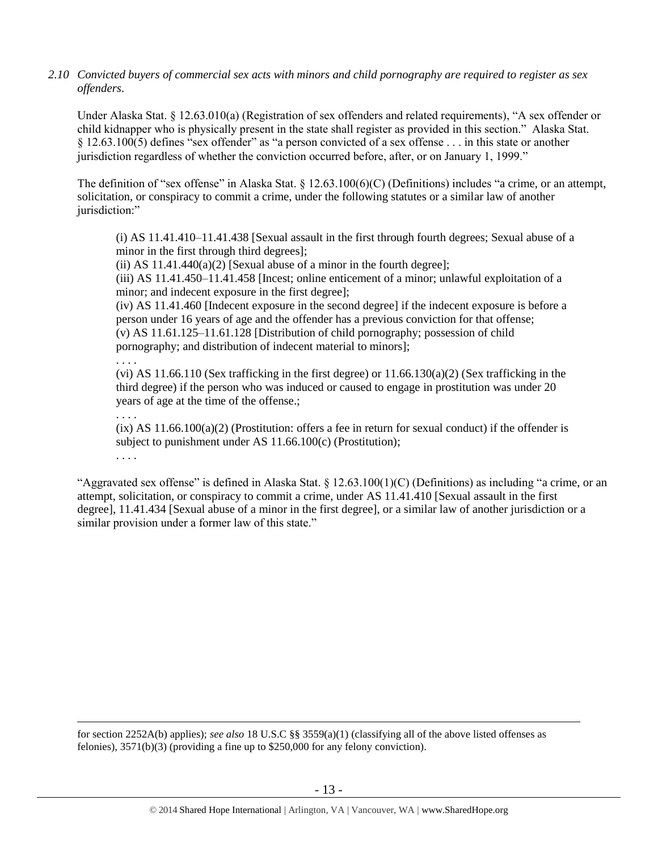*2.10 Convicted buyers of commercial sex acts with minors and child pornography are required to register as sex offenders*.

Under Alaska Stat. § 12.63.010(a) (Registration of sex offenders and related requirements), "A sex offender or child kidnapper who is physically present in the state shall register as provided in this section." Alaska Stat. § 12.63.100(5) defines "sex offender" as "a person convicted of a sex offense . . . in this state or another jurisdiction regardless of whether the conviction occurred before, after, or on January 1, 1999."

The definition of "sex offense" in Alaska Stat. § 12.63.100(6)(C) (Definitions) includes "a crime, or an attempt, solicitation, or conspiracy to commit a crime, under the following statutes or a similar law of another jurisdiction:"

(i) AS 11.41.410–11.41.438 [Sexual assault in the first through fourth degrees; Sexual abuse of a minor in the first through third degrees];

(ii) AS  $11.41.440(a)(2)$  [Sexual abuse of a minor in the fourth degree];

(iii) AS 11.41.450–11.41.458 [Incest; online enticement of a minor; unlawful exploitation of a minor; and indecent exposure in the first degree];

(iv) AS 11.41.460 [Indecent exposure in the second degree] if the indecent exposure is before a person under 16 years of age and the offender has a previous conviction for that offense; (v) AS 11.61.125–11.61.128 [Distribution of child pornography; possession of child pornography; and distribution of indecent material to minors];

. . . . (vi) AS  $11.66.110$  (Sex trafficking in the first degree) or  $11.66.130(a)(2)$  (Sex trafficking in the third degree) if the person who was induced or caused to engage in prostitution was under 20 years of age at the time of the offense.;

. . . .

. . . .

 $\overline{a}$ 

 $(ix)$  AS  $11.66.100(a)(2)$  (Prostitution: offers a fee in return for sexual conduct) if the offender is subject to punishment under AS 11.66.100(c) (Prostitution);

"Aggravated sex offense" is defined in Alaska Stat. § 12.63.100(1)(C) (Definitions) as including "a crime, or an attempt, solicitation, or conspiracy to commit a crime, under AS 11.41.410 [Sexual assault in the first degree], 11.41.434 [Sexual abuse of a minor in the first degree], or a similar law of another jurisdiction or a similar provision under a former law of this state."

for section 2252A(b) applies); *see also* 18 U.S.C §§ 3559(a)(1) (classifying all of the above listed offenses as felonies), 3571(b)(3) (providing a fine up to \$250,000 for any felony conviction).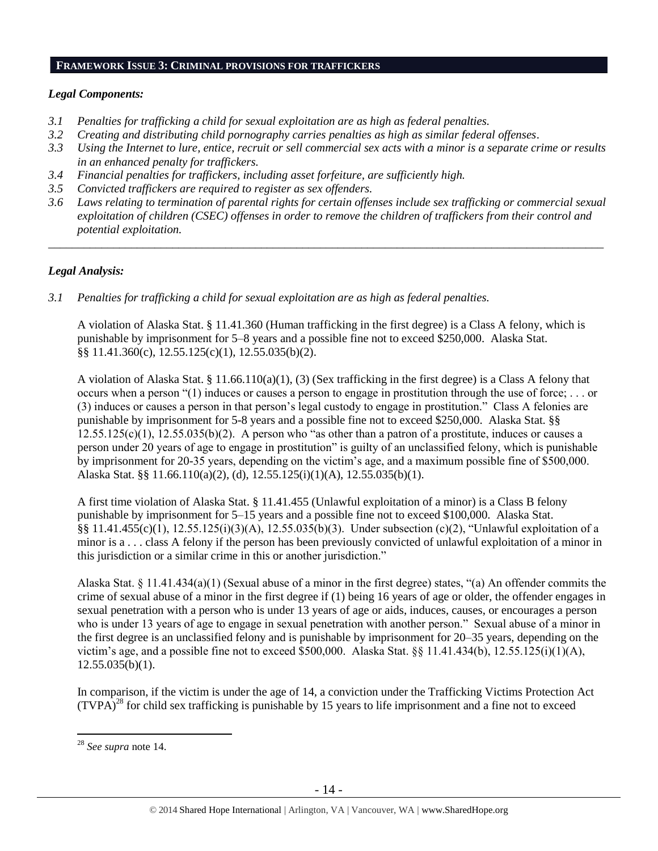#### **FRAMEWORK ISSUE 3: CRIMINAL PROVISIONS FOR TRAFFICKERS**

## *Legal Components:*

- *3.1 Penalties for trafficking a child for sexual exploitation are as high as federal penalties.*
- *3.2 Creating and distributing child pornography carries penalties as high as similar federal offenses*.
- *3.3 Using the Internet to lure, entice, recruit or sell commercial sex acts with a minor is a separate crime or results in an enhanced penalty for traffickers.*
- *3.4 Financial penalties for traffickers, including asset forfeiture, are sufficiently high.*
- *3.5 Convicted traffickers are required to register as sex offenders.*
- *3.6 Laws relating to termination of parental rights for certain offenses include sex trafficking or commercial sexual exploitation of children (CSEC) offenses in order to remove the children of traffickers from their control and potential exploitation.*

*\_\_\_\_\_\_\_\_\_\_\_\_\_\_\_\_\_\_\_\_\_\_\_\_\_\_\_\_\_\_\_\_\_\_\_\_\_\_\_\_\_\_\_\_\_\_\_\_\_\_\_\_\_\_\_\_\_\_\_\_\_\_\_\_\_\_\_\_\_\_\_\_\_\_\_\_\_\_\_\_\_\_\_\_\_\_\_\_\_\_\_\_\_\_*

## *Legal Analysis:*

*3.1 Penalties for trafficking a child for sexual exploitation are as high as federal penalties.* 

A violation of Alaska Stat. § 11.41.360 (Human trafficking in the first degree) is a Class A felony, which is punishable by imprisonment for 5–8 years and a possible fine not to exceed \$250,000. Alaska Stat. §§ 11.41.360(c), 12.55.125(c)(1), 12.55.035(b)(2).

A violation of Alaska Stat. § 11.66.110(a)(1), (3) (Sex trafficking in the first degree) is a Class A felony that occurs when a person "(1) induces or causes a person to engage in prostitution through the use of force; . . . or (3) induces or causes a person in that person's legal custody to engage in prostitution." Class A felonies are punishable by imprisonment for 5-8 years and a possible fine not to exceed \$250,000. Alaska Stat. §§  $12.55.125(c)(1)$ ,  $12.55.035(b)(2)$ . A person who "as other than a patron of a prostitute, induces or causes a person under 20 years of age to engage in prostitution" is guilty of an unclassified felony, which is punishable by imprisonment for 20-35 years, depending on the victim's age, and a maximum possible fine of \$500,000. Alaska Stat. §§ 11.66.110(a)(2), (d), 12.55.125(i)(1)(A), 12.55.035(b)(1).

A first time violation of Alaska Stat. § 11.41.455 (Unlawful exploitation of a minor) is a Class B felony punishable by imprisonment for 5–15 years and a possible fine not to exceed \$100,000. Alaska Stat. §§ 11.41.455(c)(1), 12.55.125(i)(3)(A), 12.55.035(b)(3). Under subsection (c)(2), "Unlawful exploitation of a minor is a . . . class A felony if the person has been previously convicted of unlawful exploitation of a minor in this jurisdiction or a similar crime in this or another jurisdiction."

Alaska Stat. § 11.41.434(a)(1) (Sexual abuse of a minor in the first degree) states, "(a) An offender commits the crime of sexual abuse of a minor in the first degree if (1) being 16 years of age or older, the offender engages in sexual penetration with a person who is under 13 years of age or aids, induces, causes, or encourages a person who is under 13 years of age to engage in sexual penetration with another person." Sexual abuse of a minor in the first degree is an unclassified felony and is punishable by imprisonment for 20–35 years, depending on the victim's age, and a possible fine not to exceed \$500,000. Alaska Stat. §§ 11.41.434(b), 12.55.125(i)(1)(A),  $12.55.035(b)(1)$ .

In comparison, if the victim is under the age of 14, a conviction under the Trafficking Victims Protection Act  $(TVPA)^{28}$  for child sex trafficking is punishable by 15 years to life imprisonment and a fine not to exceed

<sup>28</sup> *See supra* note [14.](#page-7-0)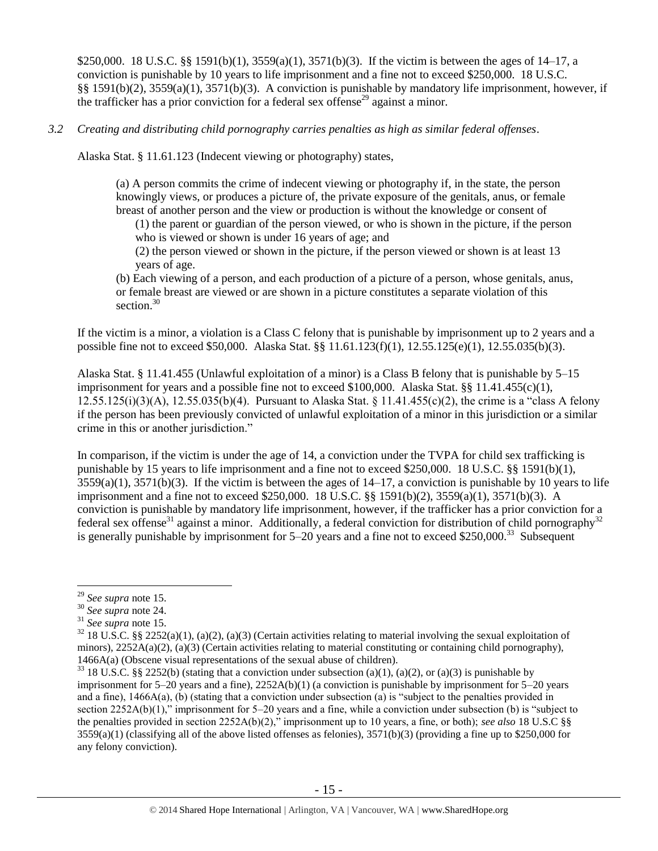\$250,000. 18 U.S.C. §§ 1591(b)(1), 3559(a)(1), 3571(b)(3). If the victim is between the ages of 14–17, a conviction is punishable by 10 years to life imprisonment and a fine not to exceed \$250,000. 18 U.S.C. §§ 1591(b)(2), 3559(a)(1), 3571(b)(3). A conviction is punishable by mandatory life imprisonment, however, if the trafficker has a prior conviction for a federal sex offense<sup>29</sup> against a minor.

## *3.2 Creating and distributing child pornography carries penalties as high as similar federal offenses*.

Alaska Stat. § 11.61.123 (Indecent viewing or photography) states,

(a) A person commits the crime of indecent viewing or photography if, in the state, the person knowingly views, or produces a picture of, the private exposure of the genitals, anus, or female breast of another person and the view or production is without the knowledge or consent of

(1) the parent or guardian of the person viewed, or who is shown in the picture, if the person who is viewed or shown is under 16 years of age; and

(2) the person viewed or shown in the picture, if the person viewed or shown is at least 13 years of age.

(b) Each viewing of a person, and each production of a picture of a person, whose genitals, anus, or female breast are viewed or are shown in a picture constitutes a separate violation of this section.<sup>30</sup>

If the victim is a minor, a violation is a Class C felony that is punishable by imprisonment up to 2 years and a possible fine not to exceed \$50,000. Alaska Stat. §§ 11.61.123(f)(1), 12.55.125(e)(1), 12.55.035(b)(3).

Alaska Stat. § 11.41.455 (Unlawful exploitation of a minor) is a Class B felony that is punishable by 5–15 imprisonment for years and a possible fine not to exceed \$100,000. Alaska Stat. §§ 11.41.455(c)(1), 12.55.125(i)(3)(A), 12.55.035(b)(4). Pursuant to Alaska Stat. § 11.41.455(c)(2), the crime is a "class A felony if the person has been previously convicted of unlawful exploitation of a minor in this jurisdiction or a similar crime in this or another jurisdiction."

In comparison, if the victim is under the age of 14, a conviction under the TVPA for child sex trafficking is punishable by 15 years to life imprisonment and a fine not to exceed \$250,000. 18 U.S.C. §§ 1591(b)(1),  $3559(a)(1)$ ,  $3571(b)(3)$ . If the victim is between the ages of  $14-17$ , a conviction is punishable by 10 years to life imprisonment and a fine not to exceed \$250,000. 18 U.S.C. §§ 1591(b)(2), 3559(a)(1), 3571(b)(3). A conviction is punishable by mandatory life imprisonment, however, if the trafficker has a prior conviction for a federal sex offense<sup>31</sup> against a minor. Additionally, a federal conviction for distribution of child pornography<sup>32</sup> is generally punishable by imprisonment for  $5-20$  years and a fine not to exceed \$250,000.<sup>33</sup> Subsequent

<sup>29</sup> *See supra* note [15.](#page-7-1)

<sup>30</sup> *See supra* note [24.](#page-11-0)

<sup>31</sup> *See supra* note [15.](#page-7-1)

 $32$  18 U.S.C. §§ 2252(a)(1), (a)(2), (a)(3) (Certain activities relating to material involving the sexual exploitation of minors),  $2252A(a)(2)$ , (a)(3) (Certain activities relating to material constituting or containing child pornography), 1466A(a) (Obscene visual representations of the sexual abuse of children).

<sup>&</sup>lt;sup>33</sup> 18 U.S.C. §§ 2252(b) (stating that a conviction under subsection (a)(1), (a)(2), or (a)(3) is punishable by imprisonment for  $5-20$  years and a fine),  $2252A(b)(1)$  (a conviction is punishable by imprisonment for  $5-20$  years and a fine), 1466A(a), (b) (stating that a conviction under subsection (a) is "subject to the penalties provided in section 2252A(b)(1)," imprisonment for 5–20 years and a fine, while a conviction under subsection (b) is "subject to the penalties provided in section 2252A(b)(2)," imprisonment up to 10 years, a fine, or both); *see also* 18 U.S.C §§  $3559(a)(1)$  (classifying all of the above listed offenses as felonies),  $3571(b)(3)$  (providing a fine up to \$250,000 for any felony conviction).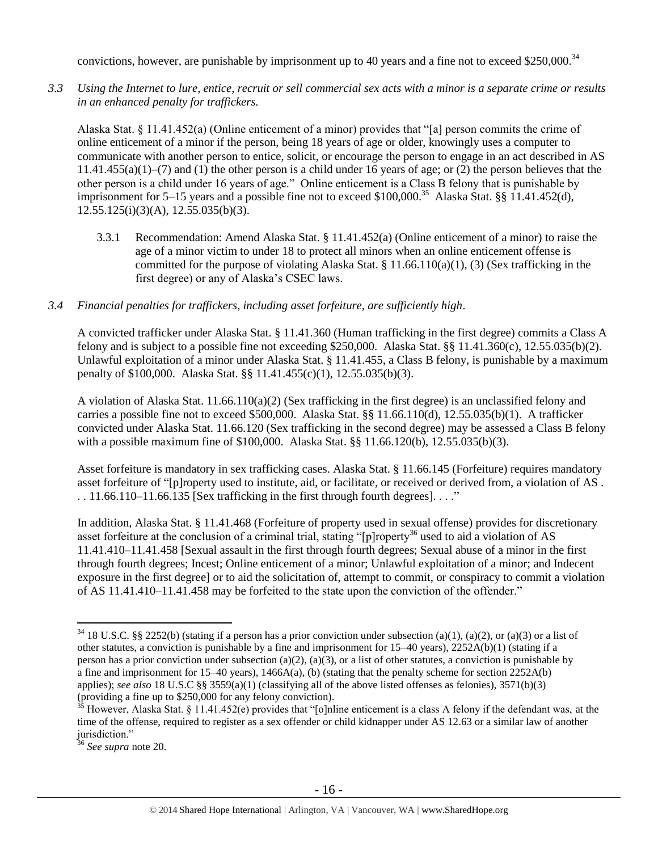convictions, however, are punishable by imprisonment up to 40 years and a fine not to exceed \$250,000.<sup>34</sup>

*3.3 Using the Internet to lure, entice, recruit or sell commercial sex acts with a minor is a separate crime or results in an enhanced penalty for traffickers.*

Alaska Stat. § 11.41.452(a) (Online enticement of a minor) provides that "[a] person commits the crime of online enticement of a minor if the person, being 18 years of age or older, knowingly uses a computer to communicate with another person to entice, solicit, or encourage the person to engage in an act described in AS  $11.41.455(a)(1)$ –(7) and (1) the other person is a child under 16 years of age; or (2) the person believes that the other person is a child under 16 years of age." Online enticement is a Class B felony that is punishable by imprisonment for 5–15 years and a possible fine not to exceed \$100,000.<sup>35</sup> Alaska Stat. §§ 11.41.452(d),  $12.55.125(i)(3)(A), 12.55.035(b)(3).$ 

- 3.3.1 Recommendation: Amend Alaska Stat. § 11.41.452(a) (Online enticement of a minor) to raise the age of a minor victim to under 18 to protect all minors when an online enticement offense is committed for the purpose of violating Alaska Stat. § 11.66.110(a)(1), (3) (Sex trafficking in the first degree) or any of Alaska's CSEC laws.
- *3.4 Financial penalties for traffickers, including asset forfeiture, are sufficiently high*.

A convicted trafficker under Alaska Stat. § 11.41.360 (Human trafficking in the first degree) commits a Class A felony and is subject to a possible fine not exceeding \$250,000. Alaska Stat. §§ 11.41.360(c), 12.55.035(b)(2). Unlawful exploitation of a minor under Alaska Stat. § 11.41.455, a Class B felony, is punishable by a maximum penalty of \$100,000. Alaska Stat. §§ 11.41.455(c)(1), 12.55.035(b)(3).

A violation of Alaska Stat. 11.66.110(a)(2) (Sex trafficking in the first degree) is an unclassified felony and carries a possible fine not to exceed \$500,000. Alaska Stat. §§ 11.66.110(d), 12.55.035(b)(1). A trafficker convicted under Alaska Stat. 11.66.120 (Sex trafficking in the second degree) may be assessed a Class B felony with a possible maximum fine of \$100,000. Alaska Stat. §§ 11.66.120(b), 12.55.035(b)(3).

Asset forfeiture is mandatory in sex trafficking cases. Alaska Stat. § 11.66.145 (Forfeiture) requires mandatory asset forfeiture of "[p]roperty used to institute, aid, or facilitate, or received or derived from, a violation of AS .  $\ldots$  11.66.110–11.66.135 [Sex trafficking in the first through fourth degrees].  $\ldots$ "

In addition, Alaska Stat. § 11.41.468 (Forfeiture of property used in sexual offense) provides for discretionary asset forfeiture at the conclusion of a criminal trial, stating "[p]roperty<sup>36</sup> used to aid a violation of AS 11.41.410–11.41.458 [Sexual assault in the first through fourth degrees; Sexual abuse of a minor in the first through fourth degrees; Incest; Online enticement of a minor; Unlawful exploitation of a minor; and Indecent exposure in the first degree] or to aid the solicitation of, attempt to commit, or conspiracy to commit a violation of AS 11.41.410–11.41.458 may be forfeited to the state upon the conviction of the offender."

 $34$  18 U.S.C. §§ 2252(b) (stating if a person has a prior conviction under subsection (a)(1), (a)(2), or (a)(3) or a list of other statutes, a conviction is punishable by a fine and imprisonment for 15–40 years), 2252A(b)(1) (stating if a person has a prior conviction under subsection (a)(2), (a)(3), or a list of other statutes, a conviction is punishable by a fine and imprisonment for  $15-40$  years),  $1466A(a)$ , (b) (stating that the penalty scheme for section  $2252A(b)$ applies); *see also* 18 U.S.C §§ 3559(a)(1) (classifying all of the above listed offenses as felonies), 3571(b)(3) (providing a fine up to \$250,000 for any felony conviction).

 $35$  However, Alaska Stat. § 11.41.452(e) provides that "[o]nline enticement is a class A felony if the defendant was, at the time of the offense, required to register as a sex offender or child kidnapper under AS 12.63 or a similar law of another jurisdiction."

<sup>36</sup> *See supra* note [20.](#page-9-0)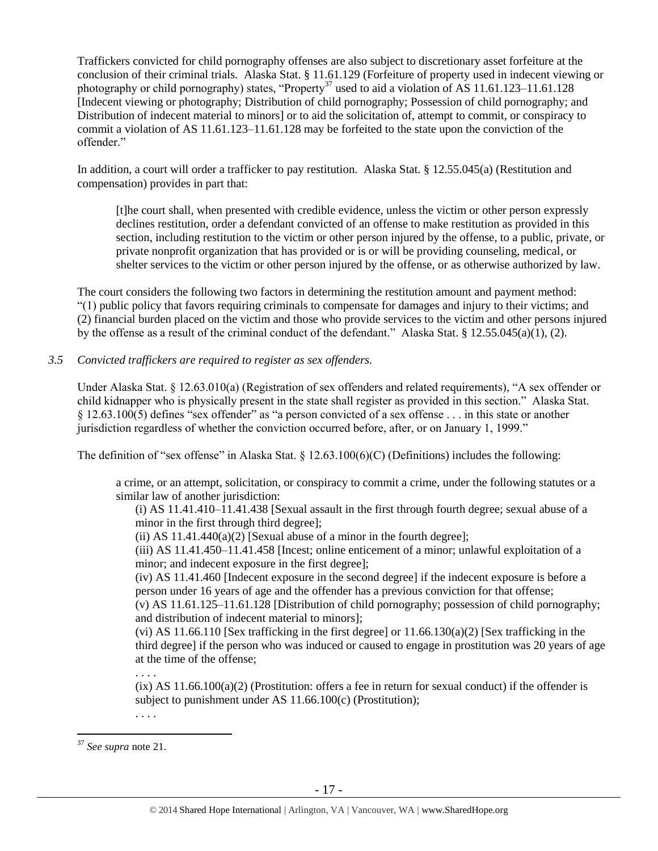Traffickers convicted for child pornography offenses are also subject to discretionary asset forfeiture at the conclusion of their criminal trials. Alaska Stat. § 11.61.129 (Forfeiture of property used in indecent viewing or photography or child pornography) states, "Property<sup>37</sup> used to aid a violation of AS 11.61.123–11.61.128 [Indecent viewing or photography; Distribution of child pornography; Possession of child pornography; and Distribution of indecent material to minors] or to aid the solicitation of, attempt to commit, or conspiracy to commit a violation of AS 11.61.123–11.61.128 may be forfeited to the state upon the conviction of the offender."

In addition, a court will order a trafficker to pay restitution. Alaska Stat. § 12.55.045(a) (Restitution and compensation) provides in part that:

[t]he court shall, when presented with credible evidence, unless the victim or other person expressly declines restitution, order a defendant convicted of an offense to make restitution as provided in this section, including restitution to the victim or other person injured by the offense, to a public, private, or private nonprofit organization that has provided or is or will be providing counseling, medical, or shelter services to the victim or other person injured by the offense, or as otherwise authorized by law.

The court considers the following two factors in determining the restitution amount and payment method: "(1) public policy that favors requiring criminals to compensate for damages and injury to their victims; and (2) financial burden placed on the victim and those who provide services to the victim and other persons injured by the offense as a result of the criminal conduct of the defendant." Alaska Stat. § 12.55.045(a)(1), (2).

## *3.5 Convicted traffickers are required to register as sex offenders.*

Under Alaska Stat. § 12.63.010(a) (Registration of sex offenders and related requirements), "A sex offender or child kidnapper who is physically present in the state shall register as provided in this section." Alaska Stat. § 12.63.100(5) defines "sex offender" as "a person convicted of a sex offense . . . in this state or another jurisdiction regardless of whether the conviction occurred before, after, or on January 1, 1999."

The definition of "sex offense" in Alaska Stat. § 12.63.100(6)(C) (Definitions) includes the following:

a crime, or an attempt, solicitation, or conspiracy to commit a crime, under the following statutes or a similar law of another jurisdiction:

(i) AS 11.41.410–11.41.438 [Sexual assault in the first through fourth degree; sexual abuse of a minor in the first through third degree];

(ii) AS  $11.41.440(a)(2)$  [Sexual abuse of a minor in the fourth degree];

(iii) AS 11.41.450–11.41.458 [Incest; online enticement of a minor; unlawful exploitation of a minor; and indecent exposure in the first degree];

(iv) AS 11.41.460 [Indecent exposure in the second degree] if the indecent exposure is before a person under 16 years of age and the offender has a previous conviction for that offense;

(v) AS 11.61.125–11.61.128 [Distribution of child pornography; possession of child pornography; and distribution of indecent material to minors];

(vi) AS 11.66.110 [Sex trafficking in the first degree] or  $11.66.130(a)(2)$  [Sex trafficking in the third degree] if the person who was induced or caused to engage in prostitution was 20 years of age at the time of the offense;

. . . .

 $(ix)$  AS  $11.66.100(a)(2)$  (Prostitution: offers a fee in return for sexual conduct) if the offender is subject to punishment under AS 11.66.100(c) (Prostitution);

. . . .

<sup>37</sup> *See supra* note [21.](#page-10-0)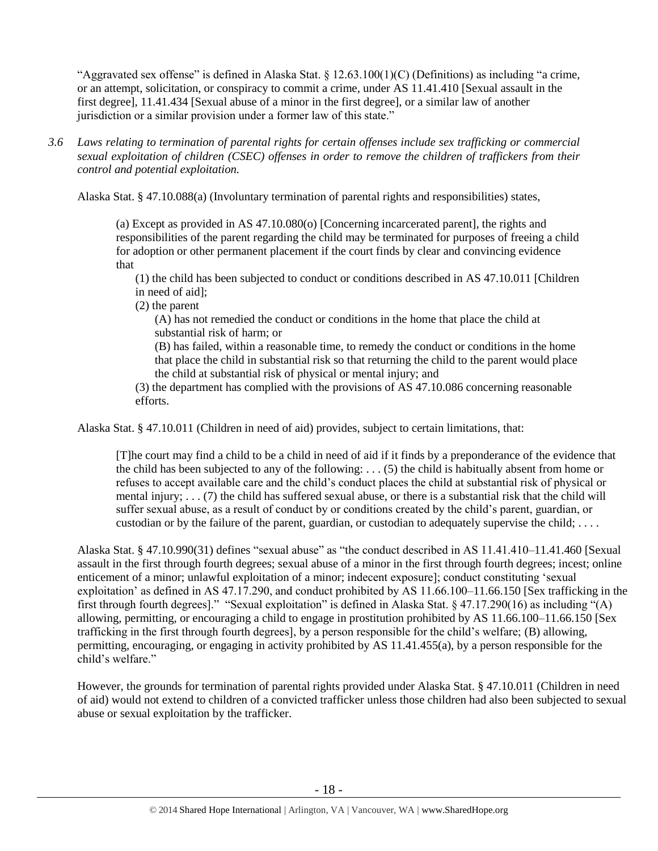"Aggravated sex offense" is defined in Alaska Stat.  $\S 12.63.100(1)(C)$  (Definitions) as including "a crime, or an attempt, solicitation, or conspiracy to commit a crime, under AS 11.41.410 [Sexual assault in the first degree], 11.41.434 [Sexual abuse of a minor in the first degree], or a similar law of another jurisdiction or a similar provision under a former law of this state."

*3.6 Laws relating to termination of parental rights for certain offenses include sex trafficking or commercial sexual exploitation of children (CSEC) offenses in order to remove the children of traffickers from their control and potential exploitation.* 

Alaska Stat. § 47.10.088(a) (Involuntary termination of parental rights and responsibilities) states,

(a) Except as provided in AS 47.10.080(o) [Concerning incarcerated parent], the rights and responsibilities of the parent regarding the child may be terminated for purposes of freeing a child for adoption or other permanent placement if the court finds by clear and convincing evidence that

(1) the child has been subjected to conduct or conditions described in AS 47.10.011 [Children in need of aid];

(2) the parent

(A) has not remedied the conduct or conditions in the home that place the child at substantial risk of harm; or

(B) has failed, within a reasonable time, to remedy the conduct or conditions in the home that place the child in substantial risk so that returning the child to the parent would place the child at substantial risk of physical or mental injury; and

(3) the department has complied with the provisions of AS 47.10.086 concerning reasonable efforts.

Alaska Stat. § 47.10.011 (Children in need of aid) provides, subject to certain limitations, that:

[T]he court may find a child to be a child in need of aid if it finds by a preponderance of the evidence that the child has been subjected to any of the following:  $\dots$  (5) the child is habitually absent from home or refuses to accept available care and the child's conduct places the child at substantial risk of physical or mental injury; . . . (7) the child has suffered sexual abuse, or there is a substantial risk that the child will suffer sexual abuse, as a result of conduct by or conditions created by the child's parent, guardian, or custodian or by the failure of the parent, guardian, or custodian to adequately supervise the child; . . . .

Alaska Stat. § 47.10.990(31) defines "sexual abuse" as "the conduct described in AS 11.41.410–11.41.460 [Sexual assault in the first through fourth degrees; sexual abuse of a minor in the first through fourth degrees; incest; online enticement of a minor; unlawful exploitation of a minor; indecent exposure]; conduct constituting 'sexual exploitation' as defined in AS 47.17.290, and conduct prohibited by AS 11.66.100–11.66.150 [Sex trafficking in the first through fourth degrees]." "Sexual exploitation" is defined in Alaska Stat. § 47.17.290(16) as including "(A) allowing, permitting, or encouraging a child to engage in prostitution prohibited by AS 11.66.100–11.66.150 [Sex trafficking in the first through fourth degrees], by a person responsible for the child's welfare; (B) allowing, permitting, encouraging, or engaging in activity prohibited by AS 11.41.455(a), by a person responsible for the child's welfare."

However, the grounds for termination of parental rights provided under Alaska Stat. § 47.10.011 (Children in need of aid) would not extend to children of a convicted trafficker unless those children had also been subjected to sexual abuse or sexual exploitation by the trafficker.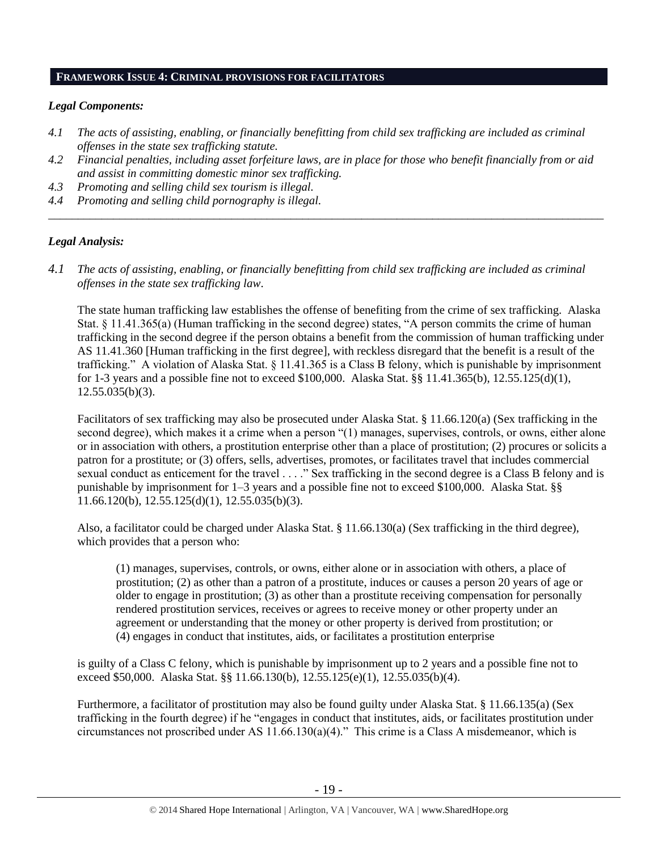#### **FRAMEWORK ISSUE 4: CRIMINAL PROVISIONS FOR FACILITATORS**

## *Legal Components:*

- *4.1 The acts of assisting, enabling, or financially benefitting from child sex trafficking are included as criminal offenses in the state sex trafficking statute.*
- *4.2 Financial penalties, including asset forfeiture laws, are in place for those who benefit financially from or aid and assist in committing domestic minor sex trafficking.*

*\_\_\_\_\_\_\_\_\_\_\_\_\_\_\_\_\_\_\_\_\_\_\_\_\_\_\_\_\_\_\_\_\_\_\_\_\_\_\_\_\_\_\_\_\_\_\_\_\_\_\_\_\_\_\_\_\_\_\_\_\_\_\_\_\_\_\_\_\_\_\_\_\_\_\_\_\_\_\_\_\_\_\_\_\_\_\_\_\_\_\_\_\_\_*

- *4.3 Promoting and selling child sex tourism is illegal.*
- *4.4 Promoting and selling child pornography is illegal.*

## *Legal Analysis:*

*4.1 The acts of assisting, enabling, or financially benefitting from child sex trafficking are included as criminal offenses in the state sex trafficking law*.

The state human trafficking law establishes the offense of benefiting from the crime of sex trafficking. Alaska Stat. § 11.41.365(a) (Human trafficking in the second degree) states, "A person commits the crime of human trafficking in the second degree if the person obtains a benefit from the commission of human trafficking under AS 11.41.360 [Human trafficking in the first degree], with reckless disregard that the benefit is a result of the trafficking." A violation of Alaska Stat. § 11.41.365 is a Class B felony, which is punishable by imprisonment for 1-3 years and a possible fine not to exceed \$100,000. Alaska Stat. §§ 11.41.365(b), 12.55.125(d)(1),  $12.55.035(b)(3)$ .

Facilitators of sex trafficking may also be prosecuted under Alaska Stat. § 11.66.120(a) (Sex trafficking in the second degree), which makes it a crime when a person "(1) manages, supervises, controls, or owns, either alone or in association with others, a prostitution enterprise other than a place of prostitution; (2) procures or solicits a patron for a prostitute; or (3) offers, sells, advertises, promotes, or facilitates travel that includes commercial sexual conduct as enticement for the travel . . . ." Sex trafficking in the second degree is a Class B felony and is punishable by imprisonment for 1–3 years and a possible fine not to exceed \$100,000. Alaska Stat. §§ 11.66.120(b), 12.55.125(d)(1), 12.55.035(b)(3).

Also, a facilitator could be charged under Alaska Stat. § 11.66.130(a) (Sex trafficking in the third degree), which provides that a person who:

(1) manages, supervises, controls, or owns, either alone or in association with others, a place of prostitution; (2) as other than a patron of a prostitute, induces or causes a person 20 years of age or older to engage in prostitution; (3) as other than a prostitute receiving compensation for personally rendered prostitution services, receives or agrees to receive money or other property under an agreement or understanding that the money or other property is derived from prostitution; or (4) engages in conduct that institutes, aids, or facilitates a prostitution enterprise

is guilty of a Class C felony, which is punishable by imprisonment up to 2 years and a possible fine not to exceed \$50,000. Alaska Stat. §§ 11.66.130(b), 12.55.125(e)(1), 12.55.035(b)(4).

Furthermore, a facilitator of prostitution may also be found guilty under Alaska Stat. § 11.66.135(a) (Sex trafficking in the fourth degree) if he "engages in conduct that institutes, aids, or facilitates prostitution under circumstances not proscribed under AS 11.66.130(a)(4)." This crime is a Class A misdemeanor, which is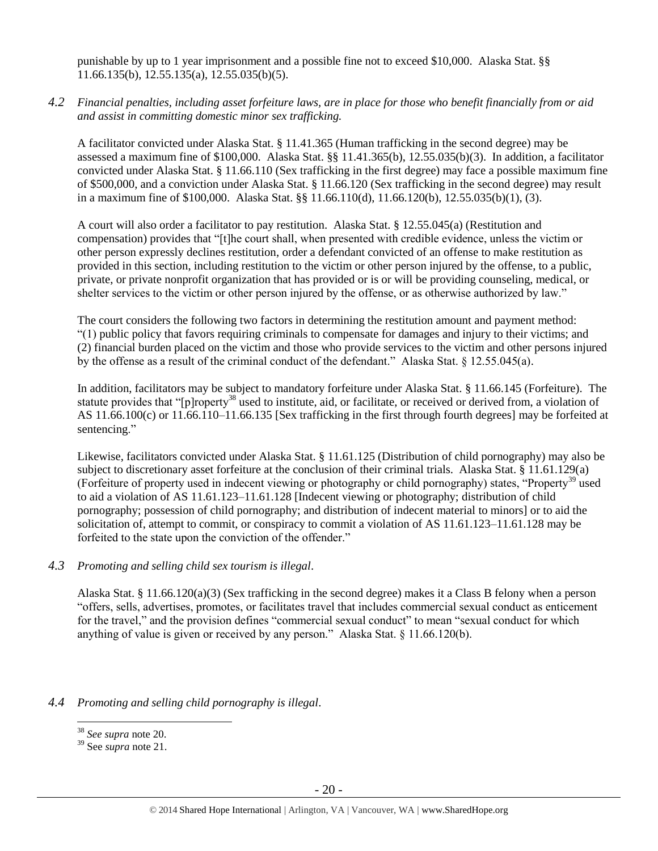punishable by up to 1 year imprisonment and a possible fine not to exceed \$10,000. Alaska Stat. §§ 11.66.135(b), 12.55.135(a), 12.55.035(b)(5).

*4.2 Financial penalties, including asset forfeiture laws, are in place for those who benefit financially from or aid and assist in committing domestic minor sex trafficking.*

A facilitator convicted under Alaska Stat. § 11.41.365 (Human trafficking in the second degree) may be assessed a maximum fine of \$100,000. Alaska Stat. §§ 11.41.365(b), 12.55.035(b)(3). In addition, a facilitator convicted under Alaska Stat. § 11.66.110 (Sex trafficking in the first degree) may face a possible maximum fine of \$500,000, and a conviction under Alaska Stat. § 11.66.120 (Sex trafficking in the second degree) may result in a maximum fine of \$100,000. Alaska Stat. §§ 11.66.110(d), 11.66.120(b), 12.55.035(b)(1), (3).

A court will also order a facilitator to pay restitution. Alaska Stat. § 12.55.045(a) (Restitution and compensation) provides that "[t]he court shall, when presented with credible evidence, unless the victim or other person expressly declines restitution, order a defendant convicted of an offense to make restitution as provided in this section, including restitution to the victim or other person injured by the offense, to a public, private, or private nonprofit organization that has provided or is or will be providing counseling, medical, or shelter services to the victim or other person injured by the offense, or as otherwise authorized by law."

The court considers the following two factors in determining the restitution amount and payment method: "(1) public policy that favors requiring criminals to compensate for damages and injury to their victims; and (2) financial burden placed on the victim and those who provide services to the victim and other persons injured by the offense as a result of the criminal conduct of the defendant." Alaska Stat. § 12.55.045(a).

In addition, facilitators may be subject to mandatory forfeiture under Alaska Stat. § 11.66.145 (Forfeiture). The statute provides that "[p]roperty<sup>38</sup> used to institute, aid, or facilitate, or received or derived from, a violation of AS 11.66.100(c) or 11.66.110–11.66.135 [Sex trafficking in the first through fourth degrees] may be forfeited at sentencing."

Likewise, facilitators convicted under Alaska Stat. § 11.61.125 (Distribution of child pornography) may also be subject to discretionary asset forfeiture at the conclusion of their criminal trials. Alaska Stat. § 11.61.129(a) (Forfeiture of property used in indecent viewing or photography or child pornography) states, "Property<sup>39</sup> used to aid a violation of AS 11.61.123–11.61.128 [Indecent viewing or photography; distribution of child pornography; possession of child pornography; and distribution of indecent material to minors] or to aid the solicitation of, attempt to commit, or conspiracy to commit a violation of AS 11.61.123–11.61.128 may be forfeited to the state upon the conviction of the offender."

## *4.3 Promoting and selling child sex tourism is illegal*.

Alaska Stat. § 11.66.120(a)(3) (Sex trafficking in the second degree) makes it a Class B felony when a person "offers, sells, advertises, promotes, or facilitates travel that includes commercial sexual conduct as enticement for the travel," and the provision defines "commercial sexual conduct" to mean "sexual conduct for which anything of value is given or received by any person." Alaska Stat. § 11.66.120(b).

#### *4.4 Promoting and selling child pornography is illegal*.

<sup>38</sup> *See supra* note [20.](#page-9-0)

<sup>39</sup> See *supra* note [21.](#page-10-0)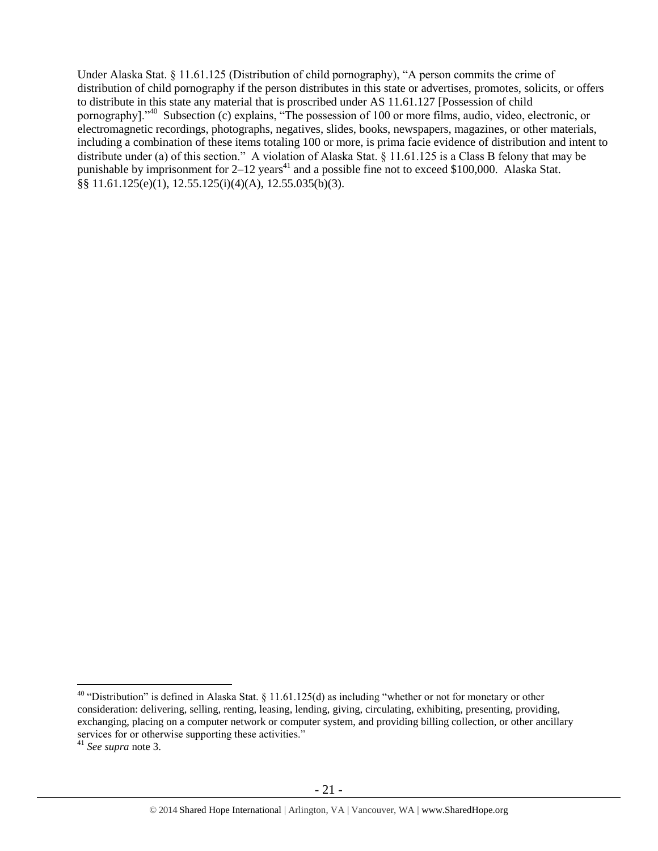Under Alaska Stat. § 11.61.125 (Distribution of child pornography), "A person commits the crime of distribution of child pornography if the person distributes in this state or advertises, promotes, solicits, or offers to distribute in this state any material that is proscribed under AS 11.61.127 [Possession of child pornography]."<sup>40</sup> Subsection (c) explains, "The possession of 100 or more films, audio, video, electronic, or electromagnetic recordings, photographs, negatives, slides, books, newspapers, magazines, or other materials, including a combination of these items totaling 100 or more, is prima facie evidence of distribution and intent to distribute under (a) of this section." A violation of Alaska Stat. § 11.61.125 is a Class B felony that may be punishable by imprisonment for  $2-12$  years<sup>41</sup> and a possible fine not to exceed \$100,000. Alaska Stat. §§ 11.61.125(e)(1), 12.55.125(i)(4)(A), 12.55.035(b)(3).

 $\overline{a}$ <sup>40</sup> "Distribution" is defined in Alaska Stat. § 11.61.125(d) as including "whether or not for monetary or other consideration: delivering, selling, renting, leasing, lending, giving, circulating, exhibiting, presenting, providing, exchanging, placing on a computer network or computer system, and providing billing collection, or other ancillary services for or otherwise supporting these activities."

<sup>41</sup> *See supra* note [3.](#page-1-0)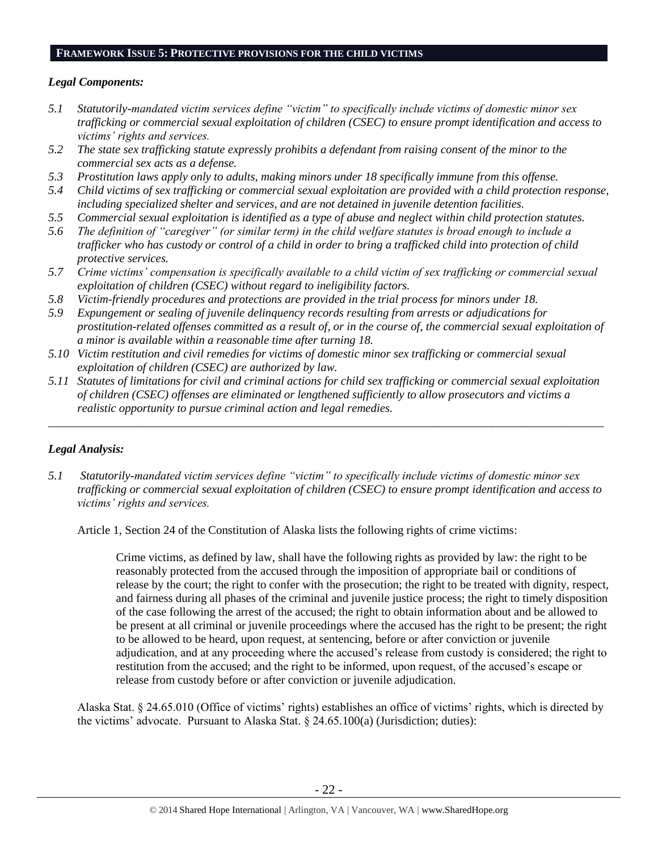#### **FRAMEWORK ISSUE 5: PROTECTIVE PROVISIONS FOR THE CHILD VICTIMS**

## *Legal Components:*

- *5.1 Statutorily-mandated victim services define "victim" to specifically include victims of domestic minor sex trafficking or commercial sexual exploitation of children (CSEC) to ensure prompt identification and access to victims' rights and services.*
- *5.2 The state sex trafficking statute expressly prohibits a defendant from raising consent of the minor to the commercial sex acts as a defense.*
- *5.3 Prostitution laws apply only to adults, making minors under 18 specifically immune from this offense.*
- *5.4 Child victims of sex trafficking or commercial sexual exploitation are provided with a child protection response, including specialized shelter and services, and are not detained in juvenile detention facilities.*
- *5.5 Commercial sexual exploitation is identified as a type of abuse and neglect within child protection statutes.*
- *5.6 The definition of "caregiver" (or similar term) in the child welfare statutes is broad enough to include a trafficker who has custody or control of a child in order to bring a trafficked child into protection of child protective services.*
- *5.7 Crime victims' compensation is specifically available to a child victim of sex trafficking or commercial sexual exploitation of children (CSEC) without regard to ineligibility factors.*
- *5.8 Victim-friendly procedures and protections are provided in the trial process for minors under 18.*
- *5.9 Expungement or sealing of juvenile delinquency records resulting from arrests or adjudications for prostitution-related offenses committed as a result of, or in the course of, the commercial sexual exploitation of a minor is available within a reasonable time after turning 18.*
- *5.10 Victim restitution and civil remedies for victims of domestic minor sex trafficking or commercial sexual exploitation of children (CSEC) are authorized by law.*
- *5.11 Statutes of limitations for civil and criminal actions for child sex trafficking or commercial sexual exploitation of children (CSEC) offenses are eliminated or lengthened sufficiently to allow prosecutors and victims a realistic opportunity to pursue criminal action and legal remedies.*

*\_\_\_\_\_\_\_\_\_\_\_\_\_\_\_\_\_\_\_\_\_\_\_\_\_\_\_\_\_\_\_\_\_\_\_\_\_\_\_\_\_\_\_\_\_\_\_\_\_\_\_\_\_\_\_\_\_\_\_\_\_\_\_\_\_\_\_\_\_\_\_\_\_\_\_\_\_\_\_\_\_\_\_\_\_\_\_\_\_\_\_\_\_\_*

# *Legal Analysis:*

*5.1 Statutorily-mandated victim services define "victim" to specifically include victims of domestic minor sex trafficking or commercial sexual exploitation of children (CSEC) to ensure prompt identification and access to victims' rights and services.*

Article 1, Section 24 of the Constitution of Alaska lists the following rights of crime victims:

Crime victims, as defined by law, shall have the following rights as provided by law: the right to be reasonably protected from the accused through the imposition of appropriate bail or conditions of release by the court; the right to confer with the prosecution; the right to be treated with dignity, respect, and fairness during all phases of the criminal and juvenile justice process; the right to timely disposition of the case following the arrest of the accused; the right to obtain information about and be allowed to be present at all criminal or juvenile proceedings where the accused has the right to be present; the right to be allowed to be heard, upon request, at sentencing, before or after conviction or juvenile adjudication, and at any proceeding where the accused's release from custody is considered; the right to restitution from the accused; and the right to be informed, upon request, of the accused's escape or release from custody before or after conviction or juvenile adjudication.

Alaska Stat. § 24.65.010 (Office of victims' rights) establishes an office of victims' rights, which is directed by the victims' advocate. Pursuant to Alaska Stat. § 24.65.100(a) (Jurisdiction; duties):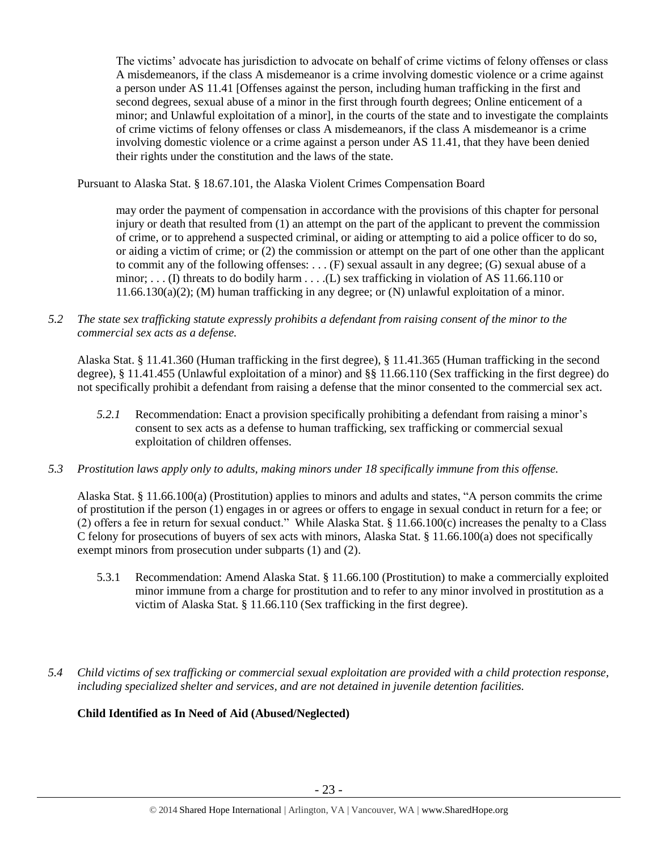The victims' advocate has jurisdiction to advocate on behalf of crime victims of felony offenses or class A misdemeanors, if the class A misdemeanor is a crime involving domestic violence or a crime against a person under AS 11.41 [Offenses against the person, including human trafficking in the first and second degrees, sexual abuse of a minor in the first through fourth degrees; Online enticement of a minor; and Unlawful exploitation of a minor], in the courts of the state and to investigate the complaints of crime victims of felony offenses or class A misdemeanors, if the class A misdemeanor is a crime involving domestic violence or a crime against a person under AS 11.41, that they have been denied their rights under the constitution and the laws of the state.

Pursuant to Alaska Stat. § 18.67.101, the Alaska Violent Crimes Compensation Board

may order the payment of compensation in accordance with the provisions of this chapter for personal injury or death that resulted from (1) an attempt on the part of the applicant to prevent the commission of crime, or to apprehend a suspected criminal, or aiding or attempting to aid a police officer to do so, or aiding a victim of crime; or (2) the commission or attempt on the part of one other than the applicant to commit any of the following offenses: . . . (F) sexual assault in any degree; (G) sexual abuse of a minor; . . . (I) threats to do bodily harm . . . .(L) sex trafficking in violation of AS 11.66.110 or 11.66.130(a)(2); (M) human trafficking in any degree; or (N) unlawful exploitation of a minor.

*5.2 The state sex trafficking statute expressly prohibits a defendant from raising consent of the minor to the commercial sex acts as a defense.*

Alaska Stat. § 11.41.360 (Human trafficking in the first degree), § 11.41.365 (Human trafficking in the second degree), § 11.41.455 (Unlawful exploitation of a minor) and §§ 11.66.110 (Sex trafficking in the first degree) do not specifically prohibit a defendant from raising a defense that the minor consented to the commercial sex act.

- *5.2.1* Recommendation: Enact a provision specifically prohibiting a defendant from raising a minor's consent to sex acts as a defense to human trafficking, sex trafficking or commercial sexual exploitation of children offenses.
- *5.3 Prostitution laws apply only to adults, making minors under 18 specifically immune from this offense.*

Alaska Stat. § 11.66.100(a) (Prostitution) applies to minors and adults and states, "A person commits the crime of prostitution if the person (1) engages in or agrees or offers to engage in sexual conduct in return for a fee; or (2) offers a fee in return for sexual conduct." While Alaska Stat. § 11.66.100(c) increases the penalty to a Class C felony for prosecutions of buyers of sex acts with minors, Alaska Stat. § 11.66.100(a) does not specifically exempt minors from prosecution under subparts (1) and (2).

- 5.3.1 Recommendation: Amend Alaska Stat. § 11.66.100 (Prostitution) to make a commercially exploited minor immune from a charge for prostitution and to refer to any minor involved in prostitution as a victim of Alaska Stat. § 11.66.110 (Sex trafficking in the first degree).
- *5.4 Child victims of sex trafficking or commercial sexual exploitation are provided with a child protection response, including specialized shelter and services, and are not detained in juvenile detention facilities.*

# **Child Identified as In Need of Aid (Abused/Neglected)**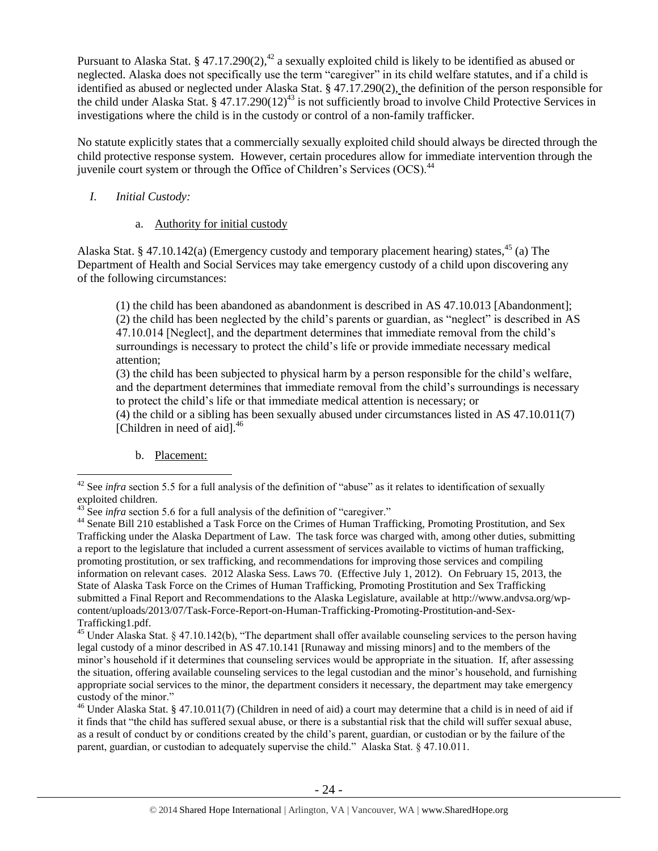Pursuant to Alaska Stat. § 47.17.290(2),<sup>42</sup> a sexually exploited child is likely to be identified as abused or neglected. Alaska does not specifically use the term "caregiver" in its child welfare statutes, and if a child is identified as abused or neglected under Alaska Stat. § 47.17.290(2), the definition of the person responsible for the child under Alaska Stat. § 47.17.290(12)<sup>43</sup> is not sufficiently broad to involve Child Protective Services in investigations where the child is in the custody or control of a non-family trafficker.

No statute explicitly states that a commercially sexually exploited child should always be directed through the child protective response system. However, certain procedures allow for immediate intervention through the juvenile court system or through the Office of Children's Services  $(OCS)$ <sup>44</sup>

## *I. Initial Custody:*

## a. Authority for initial custody

Alaska Stat. § 47.10.142(a) (Emergency custody and temporary placement hearing) states,  $45$  (a) The Department of Health and Social Services may take emergency custody of a child upon discovering any of the following circumstances:

(1) the child has been abandoned as abandonment is described in AS 47.10.013 [Abandonment]; (2) the child has been neglected by the child's parents or guardian, as "neglect" is described in AS 47.10.014 [Neglect], and the department determines that immediate removal from the child's surroundings is necessary to protect the child's life or provide immediate necessary medical attention;

(3) the child has been subjected to physical harm by a person responsible for the child's welfare, and the department determines that immediate removal from the child's surroundings is necessary to protect the child's life or that immediate medical attention is necessary; or

(4) the child or a sibling has been sexually abused under circumstances listed in AS 47.10.011(7) [Children in need of aid]. $^{46}$ 

b. Placement:

 $\overline{a}$ 

<sup>46</sup> Under Alaska Stat. § 47.10.011(7) (Children in need of aid) a court may determine that a child is in need of aid if it finds that "the child has suffered sexual abuse, or there is a substantial risk that the child will suffer sexual abuse, as a result of conduct by or conditions created by the child's parent, guardian, or custodian or by the failure of the parent, guardian, or custodian to adequately supervise the child." Alaska Stat. § 47.10.011.

 $42$  See *infra* section 5.5 for a full analysis of the definition of "abuse" as it relates to identification of sexually  $\frac{u}{43}$  exploited children.

See *infra* section 5.6 for a full analysis of the definition of "caregiver."

<sup>&</sup>lt;sup>44</sup> Senate Bill 210 established a Task Force on the Crimes of Human Trafficking, Promoting Prostitution, and Sex Trafficking under the Alaska Department of Law. The task force was charged with, among other duties, submitting a report to the legislature that included a current assessment of services available to victims of human trafficking, promoting prostitution, or sex trafficking, and recommendations for improving those services and compiling information on relevant cases. 2012 Alaska Sess. Laws 70. (Effective July 1, 2012). On February 15, 2013, the State of Alaska Task Force on the Crimes of Human Trafficking, Promoting Prostitution and Sex Trafficking submitted a Final Report and Recommendations to the Alaska Legislature, available at http://www.andvsa.org/wpcontent/uploads/2013/07/Task-Force-Report-on-Human-Trafficking-Promoting-Prostitution-and-Sex-Trafficking1.pdf.

<sup>&</sup>lt;sup>45</sup> Under Alaska Stat. § 47.10.142(b), "The department shall offer available counseling services to the person having legal custody of a minor described in AS 47.10.141 [Runaway and missing minors] and to the members of the minor's household if it determines that counseling services would be appropriate in the situation. If, after assessing the situation, offering available counseling services to the legal custodian and the minor's household, and furnishing appropriate social services to the minor, the department considers it necessary, the department may take emergency custody of the minor."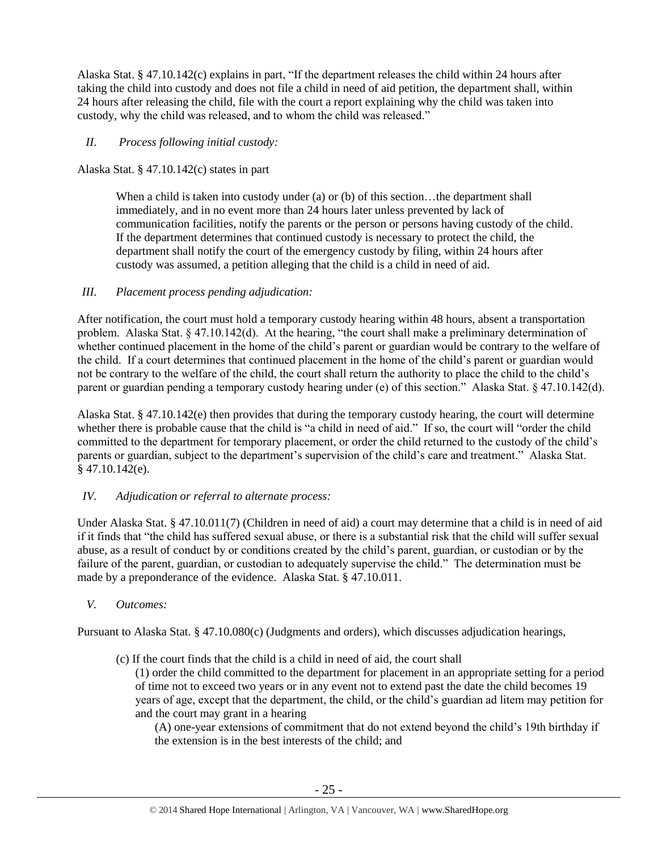Alaska Stat. § 47.10.142(c) explains in part, "If the department releases the child within 24 hours after taking the child into custody and does not file a child in need of aid petition, the department shall, within 24 hours after releasing the child, file with the court a report explaining why the child was taken into custody, why the child was released, and to whom the child was released."

# *II. Process following initial custody:*

Alaska Stat. § 47.10.142(c) states in part

When a child is taken into custody under (a) or (b) of this section...the department shall immediately, and in no event more than 24 hours later unless prevented by lack of communication facilities, notify the parents or the person or persons having custody of the child. If the department determines that continued custody is necessary to protect the child, the department shall notify the court of the emergency custody by filing, within 24 hours after custody was assumed, a petition alleging that the child is a child in need of aid.

## *III. Placement process pending adjudication:*

After notification, the court must hold a temporary custody hearing within 48 hours, absent a transportation problem. Alaska Stat. § 47.10.142(d). At the hearing, "the court shall make a preliminary determination of whether continued placement in the home of the child's parent or guardian would be contrary to the welfare of the child. If a court determines that continued placement in the home of the child's parent or guardian would not be contrary to the welfare of the child, the court shall return the authority to place the child to the child's parent or guardian pending a temporary custody hearing under (e) of this section." Alaska Stat. § 47.10.142(d).

Alaska Stat. § 47.10.142(e) then provides that during the temporary custody hearing, the court will determine whether there is probable cause that the child is "a child in need of aid." If so, the court will "order the child committed to the department for temporary placement, or order the child returned to the custody of the child's parents or guardian, subject to the department's supervision of the child's care and treatment." Alaska Stat.  $§$  47.10.142(e).

# *IV. Adjudication or referral to alternate process:*

Under Alaska Stat. § 47.10.011(7) (Children in need of aid) a court may determine that a child is in need of aid if it finds that "the child has suffered sexual abuse, or there is a substantial risk that the child will suffer sexual abuse, as a result of conduct by or conditions created by the child's parent, guardian, or custodian or by the failure of the parent, guardian, or custodian to adequately supervise the child." The determination must be made by a preponderance of the evidence. Alaska Stat. § 47.10.011.

## *V. Outcomes:*

Pursuant to Alaska Stat. § 47.10.080(c) (Judgments and orders), which discusses adjudication hearings,

(c) If the court finds that the child is a child in need of aid, the court shall

(1) order the child committed to the department for placement in an appropriate setting for a period of time not to exceed two years or in any event not to extend past the date the child becomes 19 years of age, except that the department, the child, or the child's guardian ad litem may petition for and the court may grant in a hearing

(A) one-year extensions of commitment that do not extend beyond the child's 19th birthday if the extension is in the best interests of the child; and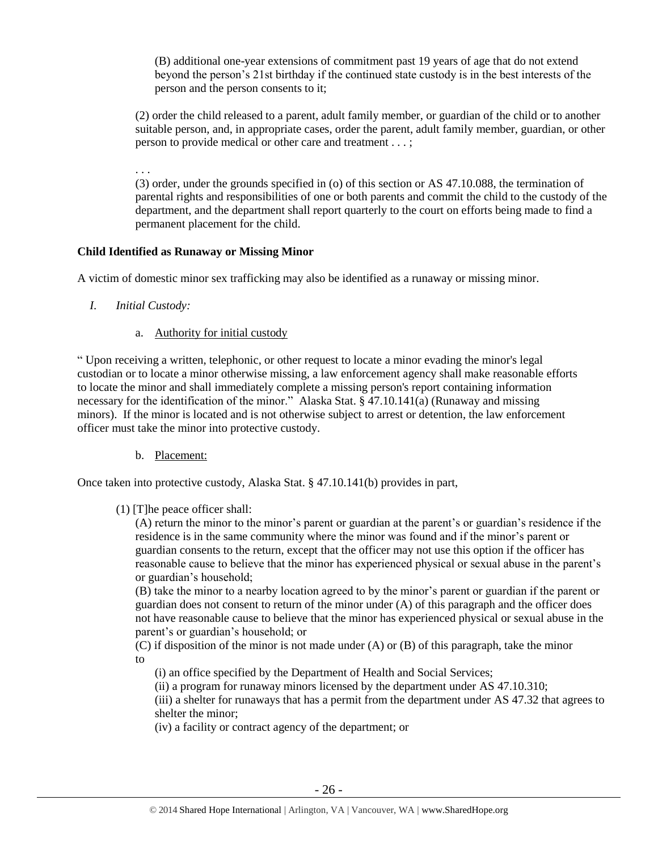(B) additional one-year extensions of commitment past 19 years of age that do not extend beyond the person's 21st birthday if the continued state custody is in the best interests of the person and the person consents to it;

(2) order the child released to a parent, adult family member, or guardian of the child or to another suitable person, and, in appropriate cases, order the parent, adult family member, guardian, or other person to provide medical or other care and treatment . . . ;

. . .

(3) order, under the grounds specified in (o) of this section or AS 47.10.088, the termination of parental rights and responsibilities of one or both parents and commit the child to the custody of the department, and the department shall report quarterly to the court on efforts being made to find a permanent placement for the child.

## **Child Identified as Runaway or Missing Minor**

A victim of domestic minor sex trafficking may also be identified as a runaway or missing minor.

- *I. Initial Custody:* 
	- a. Authority for initial custody

" Upon receiving a written, telephonic, or other request to locate a minor evading the minor's legal custodian or to locate a minor otherwise missing, a law enforcement agency shall make reasonable efforts to locate the minor and shall immediately complete a missing person's report containing information necessary for the identification of the minor." Alaska Stat. § 47.10.141(a) (Runaway and missing minors). If the minor is located and is not otherwise subject to arrest or detention, the law enforcement officer must take the minor into protective custody.

b. Placement:

Once taken into protective custody, Alaska Stat. § 47.10.141(b) provides in part,

(1) [T]he peace officer shall:

(A) return the minor to the minor's parent or guardian at the parent's or guardian's residence if the residence is in the same community where the minor was found and if the minor's parent or guardian consents to the return, except that the officer may not use this option if the officer has reasonable cause to believe that the minor has experienced physical or sexual abuse in the parent's or guardian's household;

(B) take the minor to a nearby location agreed to by the minor's parent or guardian if the parent or guardian does not consent to return of the minor under (A) of this paragraph and the officer does not have reasonable cause to believe that the minor has experienced physical or sexual abuse in the parent's or guardian's household; or

(C) if disposition of the minor is not made under (A) or (B) of this paragraph, take the minor to

(i) an office specified by the Department of Health and Social Services;

(ii) a program for runaway minors licensed by the department under AS 47.10.310;

(iii) a shelter for runaways that has a permit from the department under AS 47.32 that agrees to shelter the minor;

(iv) a facility or contract agency of the department; or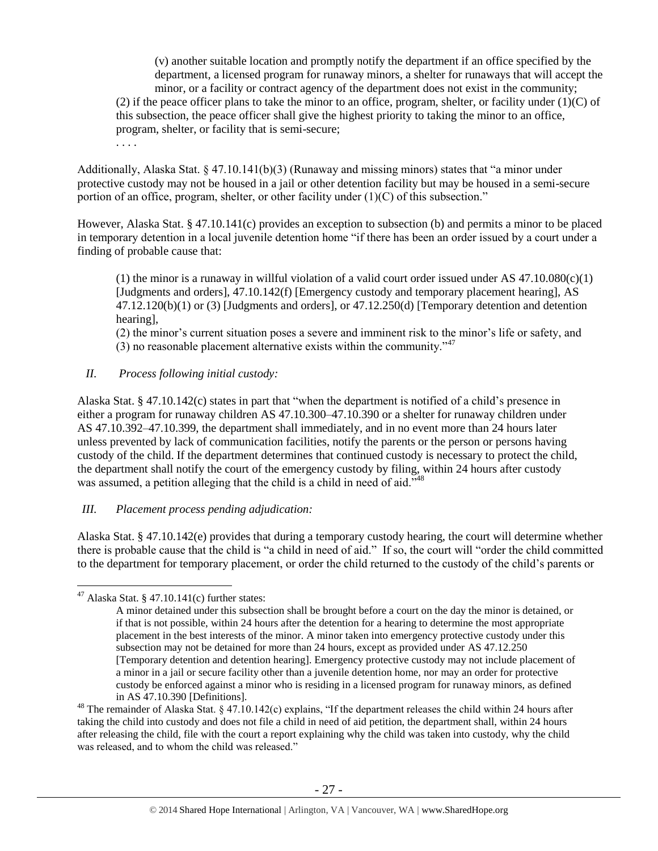(v) another suitable location and promptly notify the department if an office specified by the department, a licensed program for runaway minors, a shelter for runaways that will accept the minor, or a facility or contract agency of the department does not exist in the community; (2) if the peace officer plans to take the minor to an office, program, shelter, or facility under  $(1)(C)$  of this subsection, the peace officer shall give the highest priority to taking the minor to an office, program, shelter, or facility that is semi-secure;

. . . .

Additionally, Alaska Stat. § 47.10.141(b)(3) (Runaway and missing minors) states that "a minor under protective custody may not be housed in a jail or other detention facility but may be housed in a semi-secure portion of an office, program, shelter, or other facility under  $(1)(C)$  of this subsection."

However, Alaska Stat. § 47.10.141(c) provides an exception to subsection (b) and permits a minor to be placed in temporary detention in a local juvenile detention home "if there has been an order issued by a court under a finding of probable cause that:

(1) the minor is a runaway in willful violation of a valid court order issued under AS  $47.10.080(c)(1)$ [Judgments and orders], 47.10.142(f) [Emergency custody and temporary placement hearing], AS 47.12.120(b)(1) or (3) [Judgments and orders], or 47.12.250(d) [Temporary detention and detention hearing],

(2) the minor's current situation poses a severe and imminent risk to the minor's life or safety, and (3) no reasonable placement alternative exists within the community." $47$ 

## *II. Process following initial custody:*

Alaska Stat. § 47.10.142(c) states in part that "when the department is notified of a child's presence in either a program for runaway children AS 47.10.300–47.10.390 or a shelter for runaway children under AS 47.10.392–47.10.399, the department shall immediately, and in no event more than 24 hours later unless prevented by lack of communication facilities, notify the parents or the person or persons having custody of the child. If the department determines that continued custody is necessary to protect the child, the department shall notify the court of the emergency custody by filing, within 24 hours after custody was assumed, a petition alleging that the child is a child in need of aid.<sup>348</sup>

# *III. Placement process pending adjudication:*

Alaska Stat. § 47.10.142(e) provides that during a temporary custody hearing, the court will determine whether there is probable cause that the child is "a child in need of aid." If so, the court will "order the child committed to the department for temporary placement, or order the child returned to the custody of the child's parents or

 $47$  Alaska Stat. § 47.10.141(c) further states:

A minor detained under this subsection shall be brought before a court on the day the minor is detained, or if that is not possible, within 24 hours after the detention for a hearing to determine the most appropriate placement in the best interests of the minor. A minor taken into emergency protective custody under this subsection may not be detained for more than 24 hours, except as provided under AS 47.12.250 [Temporary detention and detention hearing]. Emergency protective custody may not include placement of a minor in a jail or secure facility other than a juvenile detention home, nor may an order for protective custody be enforced against a minor who is residing in a licensed program for runaway minors, as defined in AS 47.10.390 [Definitions].

<sup>&</sup>lt;sup>48</sup> The remainder of Alaska Stat. § 47.10.142(c) explains, "If the department releases the child within 24 hours after taking the child into custody and does not file a child in need of aid petition, the department shall, within 24 hours after releasing the child, file with the court a report explaining why the child was taken into custody, why the child was released, and to whom the child was released."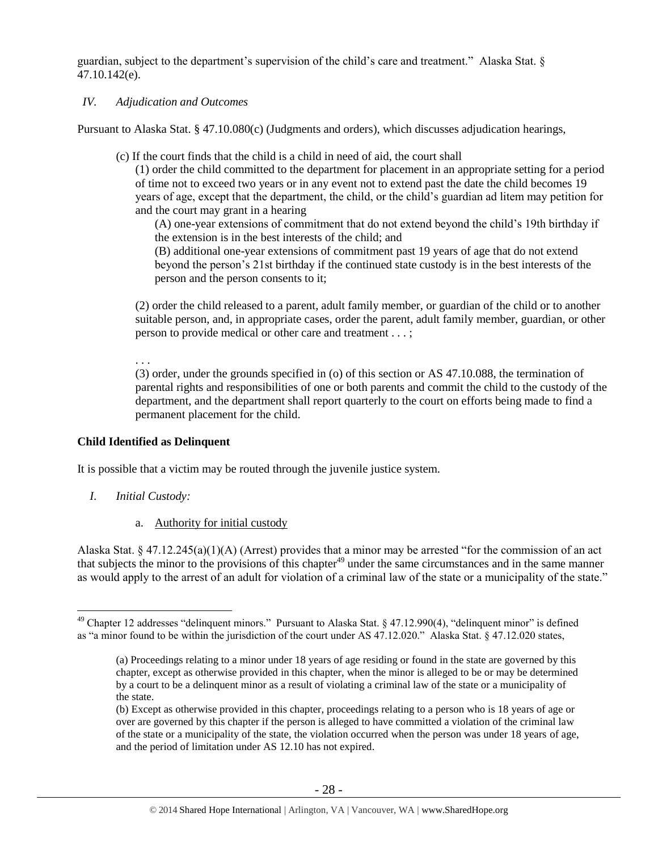guardian, subject to the department's supervision of the child's care and treatment." Alaska Stat. § 47.10.142(e).

#### *IV. Adjudication and Outcomes*

Pursuant to Alaska Stat. § 47.10.080(c) (Judgments and orders), which discusses adjudication hearings,

(c) If the court finds that the child is a child in need of aid, the court shall

(1) order the child committed to the department for placement in an appropriate setting for a period of time not to exceed two years or in any event not to extend past the date the child becomes 19 years of age, except that the department, the child, or the child's guardian ad litem may petition for and the court may grant in a hearing

(A) one-year extensions of commitment that do not extend beyond the child's 19th birthday if the extension is in the best interests of the child; and

(B) additional one-year extensions of commitment past 19 years of age that do not extend beyond the person's 21st birthday if the continued state custody is in the best interests of the person and the person consents to it;

(2) order the child released to a parent, adult family member, or guardian of the child or to another suitable person, and, in appropriate cases, order the parent, adult family member, guardian, or other person to provide medical or other care and treatment . . . ;

. . .

(3) order, under the grounds specified in (o) of this section or AS 47.10.088, the termination of parental rights and responsibilities of one or both parents and commit the child to the custody of the department, and the department shall report quarterly to the court on efforts being made to find a permanent placement for the child.

## **Child Identified as Delinquent**

It is possible that a victim may be routed through the juvenile justice system.

*I. Initial Custody:* 

 $\overline{a}$ 

a. Authority for initial custody

Alaska Stat. § 47.12.245(a)(1)(A) (Arrest) provides that a minor may be arrested "for the commission of an act that subjects the minor to the provisions of this chapter<sup>49</sup> under the same circumstances and in the same manner as would apply to the arrest of an adult for violation of a criminal law of the state or a municipality of the state."

<sup>&</sup>lt;sup>49</sup> Chapter 12 addresses "delinquent minors." Pursuant to Alaska Stat. § 47.12.990(4), "delinquent minor" is defined as "a minor found to be within the jurisdiction of the court under AS 47.12.020." Alaska Stat. § 47.12.020 states,

<sup>(</sup>a) Proceedings relating to a minor under 18 years of age residing or found in the state are governed by this chapter, except as otherwise provided in this chapter, when the minor is alleged to be or may be determined by a court to be a delinquent minor as a result of violating a criminal law of the state or a municipality of the state.

<sup>(</sup>b) Except as otherwise provided in this chapter, proceedings relating to a person who is 18 years of age or over are governed by this chapter if the person is alleged to have committed a violation of the criminal law of the state or a municipality of the state, the violation occurred when the person was under 18 years of age, and the period of limitation under AS 12.10 has not expired.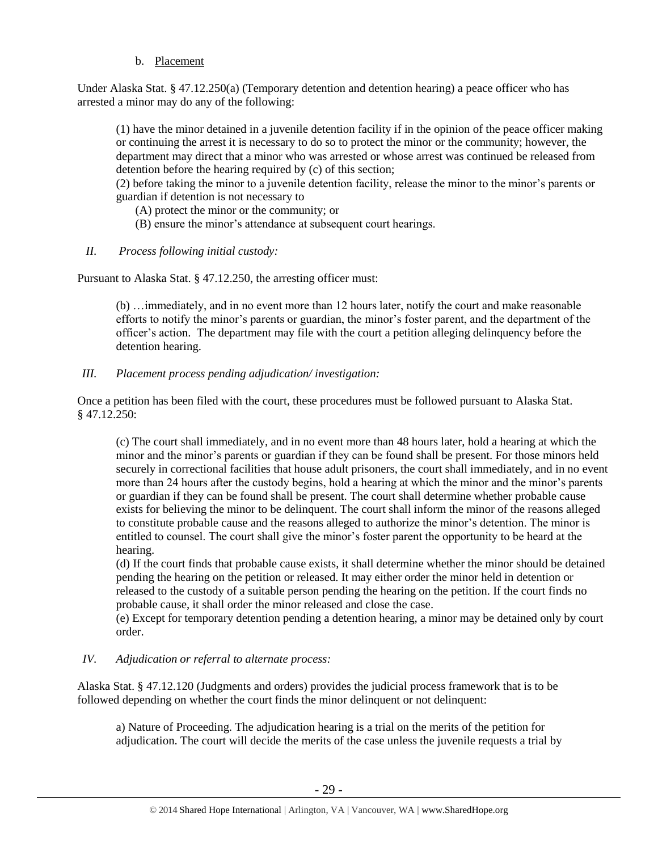## b. Placement

Under Alaska Stat. § 47.12.250(a) (Temporary detention and detention hearing) a peace officer who has arrested a minor may do any of the following:

(1) have the minor detained in a juvenile detention facility if in the opinion of the peace officer making or continuing the arrest it is necessary to do so to protect the minor or the community; however, the department may direct that a minor who was arrested or whose arrest was continued be released from detention before the hearing required by (c) of this section;

(2) before taking the minor to a juvenile detention facility, release the minor to the minor's parents or guardian if detention is not necessary to

(A) protect the minor or the community; or

- (B) ensure the minor's attendance at subsequent court hearings.
- *II. Process following initial custody:*

Pursuant to Alaska Stat. § 47.12.250, the arresting officer must:

(b) …immediately, and in no event more than 12 hours later, notify the court and make reasonable efforts to notify the minor's parents or guardian, the minor's foster parent, and the department of the officer's action. The department may file with the court a petition alleging delinquency before the detention hearing.

*III. Placement process pending adjudication/ investigation:* 

Once a petition has been filed with the court, these procedures must be followed pursuant to Alaska Stat. § 47.12.250:

(c) The court shall immediately, and in no event more than 48 hours later, hold a hearing at which the minor and the minor's parents or guardian if they can be found shall be present. For those minors held securely in correctional facilities that house adult prisoners, the court shall immediately, and in no event more than 24 hours after the custody begins, hold a hearing at which the minor and the minor's parents or guardian if they can be found shall be present. The court shall determine whether probable cause exists for believing the minor to be delinquent. The court shall inform the minor of the reasons alleged to constitute probable cause and the reasons alleged to authorize the minor's detention. The minor is entitled to counsel. The court shall give the minor's foster parent the opportunity to be heard at the hearing.

(d) If the court finds that probable cause exists, it shall determine whether the minor should be detained pending the hearing on the petition or released. It may either order the minor held in detention or released to the custody of a suitable person pending the hearing on the petition. If the court finds no probable cause, it shall order the minor released and close the case.

(e) Except for temporary detention pending a detention hearing, a minor may be detained only by court order.

# *IV. Adjudication or referral to alternate process:*

Alaska Stat. § 47.12.120 (Judgments and orders) provides the judicial process framework that is to be followed depending on whether the court finds the minor delinquent or not delinquent:

a) Nature of Proceeding. The adjudication hearing is a trial on the merits of the petition for adjudication. The court will decide the merits of the case unless the juvenile requests a trial by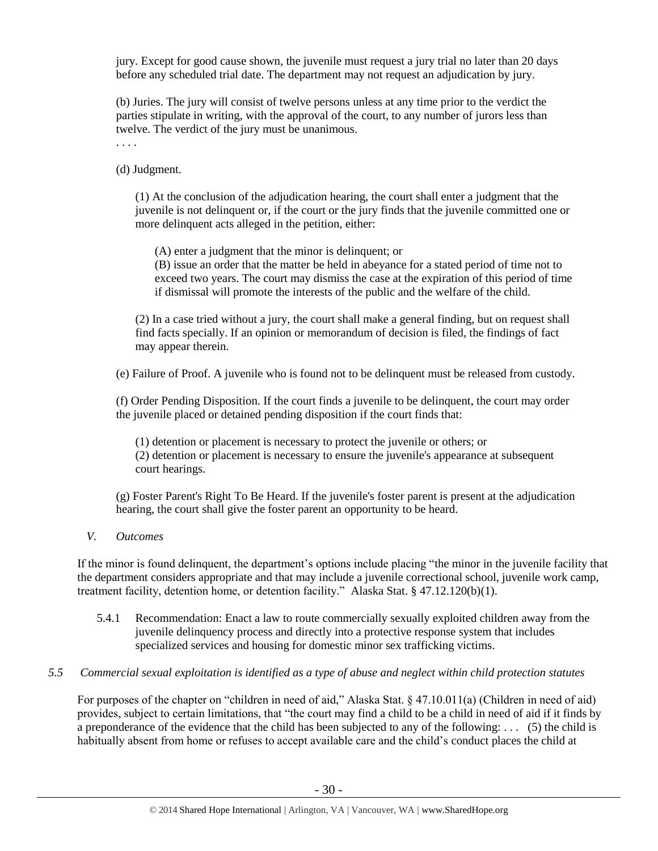jury. Except for good cause shown, the juvenile must request a jury trial no later than 20 days before any scheduled trial date. The department may not request an adjudication by jury.

(b) Juries. The jury will consist of twelve persons unless at any time prior to the verdict the parties stipulate in writing, with the approval of the court, to any number of jurors less than twelve. The verdict of the jury must be unanimous.

. . . .

(d) Judgment.

(1) At the conclusion of the adjudication hearing, the court shall enter a judgment that the juvenile is not delinquent or, if the court or the jury finds that the juvenile committed one or more delinquent acts alleged in the petition, either:

(A) enter a judgment that the minor is delinquent; or

(B) issue an order that the matter be held in abeyance for a stated period of time not to exceed two years. The court may dismiss the case at the expiration of this period of time if dismissal will promote the interests of the public and the welfare of the child.

(2) In a case tried without a jury, the court shall make a general finding, but on request shall find facts specially. If an opinion or memorandum of decision is filed, the findings of fact may appear therein.

(e) Failure of Proof. A juvenile who is found not to be delinquent must be released from custody.

(f) Order Pending Disposition. If the court finds a juvenile to be delinquent, the court may order the juvenile placed or detained pending disposition if the court finds that:

(1) detention or placement is necessary to protect the juvenile or others; or (2) detention or placement is necessary to ensure the juvenile's appearance at subsequent court hearings.

(g) Foster Parent's Right To Be Heard. If the juvenile's foster parent is present at the adjudication hearing, the court shall give the foster parent an opportunity to be heard.

*V. Outcomes* 

If the minor is found delinquent, the department's options include placing "the minor in the juvenile facility that the department considers appropriate and that may include a juvenile correctional school, juvenile work camp, treatment facility, detention home, or detention facility." Alaska Stat. § 47.12.120(b)(1).

- 5.4.1 Recommendation: Enact a law to route commercially sexually exploited children away from the juvenile delinquency process and directly into a protective response system that includes specialized services and housing for domestic minor sex trafficking victims.
- *5.5 Commercial sexual exploitation is identified as a type of abuse and neglect within child protection statutes*

For purposes of the chapter on "children in need of aid," Alaska Stat. § 47.10.011(a) (Children in need of aid) provides, subject to certain limitations, that "the court may find a child to be a child in need of aid if it finds by a preponderance of the evidence that the child has been subjected to any of the following: . . . (5) the child is habitually absent from home or refuses to accept available care and the child's conduct places the child at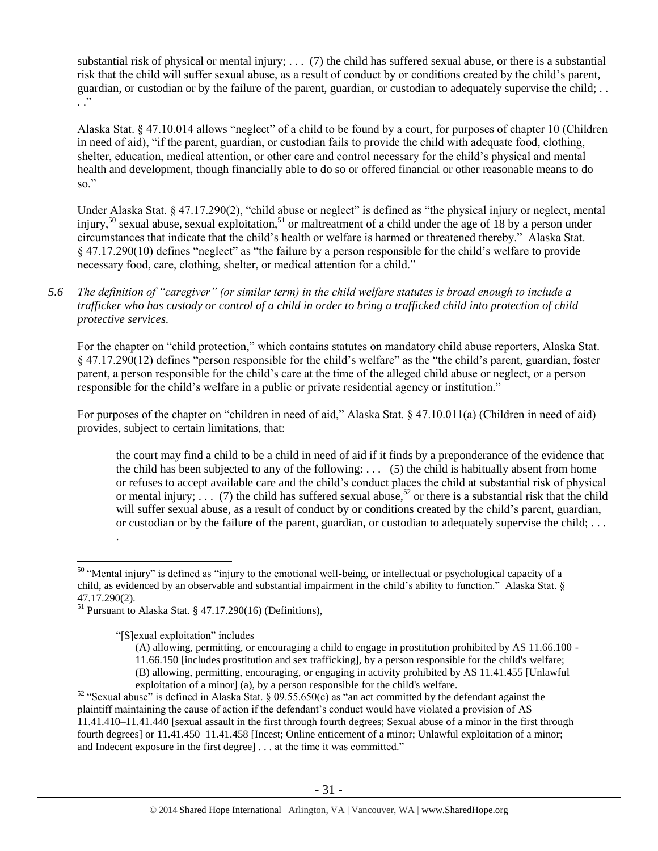substantial risk of physical or mental injury;  $\ldots$  (7) the child has suffered sexual abuse, or there is a substantial risk that the child will suffer sexual abuse, as a result of conduct by or conditions created by the child's parent, guardian, or custodian or by the failure of the parent, guardian, or custodian to adequately supervise the child; . .  $\ddot{\cdot}$  .

Alaska Stat. § 47.10.014 allows "neglect" of a child to be found by a court, for purposes of chapter 10 (Children in need of aid), "if the parent, guardian, or custodian fails to provide the child with adequate food, clothing, shelter, education, medical attention, or other care and control necessary for the child's physical and mental health and development, though financially able to do so or offered financial or other reasonable means to do so."

Under Alaska Stat. § 47.17.290(2), "child abuse or neglect" is defined as "the physical injury or neglect, mental injury,<sup>50</sup> sexual abuse, sexual exploitation,<sup>51</sup> or maltreatment of a child under the age of 18 by a person under circumstances that indicate that the child's health or welfare is harmed or threatened thereby." Alaska Stat. § 47.17.290(10) defines "neglect" as "the failure by a person responsible for the child's welfare to provide necessary food, care, clothing, shelter, or medical attention for a child."

*5.6 The definition of "caregiver" (or similar term) in the child welfare statutes is broad enough to include a trafficker who has custody or control of a child in order to bring a trafficked child into protection of child protective services.*

For the chapter on "child protection," which contains statutes on mandatory child abuse reporters, Alaska Stat. § 47.17.290(12) defines "person responsible for the child's welfare" as the "the child's parent, guardian, foster parent, a person responsible for the child's care at the time of the alleged child abuse or neglect, or a person responsible for the child's welfare in a public or private residential agency or institution."

For purposes of the chapter on "children in need of aid," Alaska Stat. § 47.10.011(a) (Children in need of aid) provides, subject to certain limitations, that:

the court may find a child to be a child in need of aid if it finds by a preponderance of the evidence that the child has been subjected to any of the following:  $\ldots$  (5) the child is habitually absent from home or refuses to accept available care and the child's conduct places the child at substantial risk of physical or mental injury;  $\ldots$  (7) the child has suffered sexual abuse,<sup>52</sup> or there is a substantial risk that the child will suffer sexual abuse, as a result of conduct by or conditions created by the child's parent, guardian, or custodian or by the failure of the parent, guardian, or custodian to adequately supervise the child; . . .

<span id="page-30-0"></span>.

<sup>&</sup>lt;sup>50</sup> "Mental injury" is defined as "injury to the emotional well-being, or intellectual or psychological capacity of a child, as evidenced by an observable and substantial impairment in the child's ability to function." Alaska Stat. § 47.17.290(2).

<sup>&</sup>lt;sup>51</sup> Pursuant to Alaska Stat. § 47.17.290(16) (Definitions),

<sup>&</sup>quot;[S]exual exploitation" includes

<sup>(</sup>A) allowing, permitting, or encouraging a child to engage in prostitution prohibited by AS 11.66.100 - 11.66.150 [includes prostitution and sex trafficking], by a person responsible for the child's welfare; (B) allowing, permitting, encouraging, or engaging in activity prohibited by AS 11.41.455 [Unlawful exploitation of a minor] (a), by a person responsible for the child's welfare.

<sup>&</sup>lt;sup>52</sup> "Sexual abuse" is defined in Alaska Stat. § 09.55.650(c) as "an act committed by the defendant against the plaintiff maintaining the cause of action if the defendant's conduct would have violated a provision of AS 11.41.410–11.41.440 [sexual assault in the first through fourth degrees; Sexual abuse of a minor in the first through fourth degrees] or 11.41.450–11.41.458 [Incest; Online enticement of a minor; Unlawful exploitation of a minor; and Indecent exposure in the first degree] . . . at the time it was committed."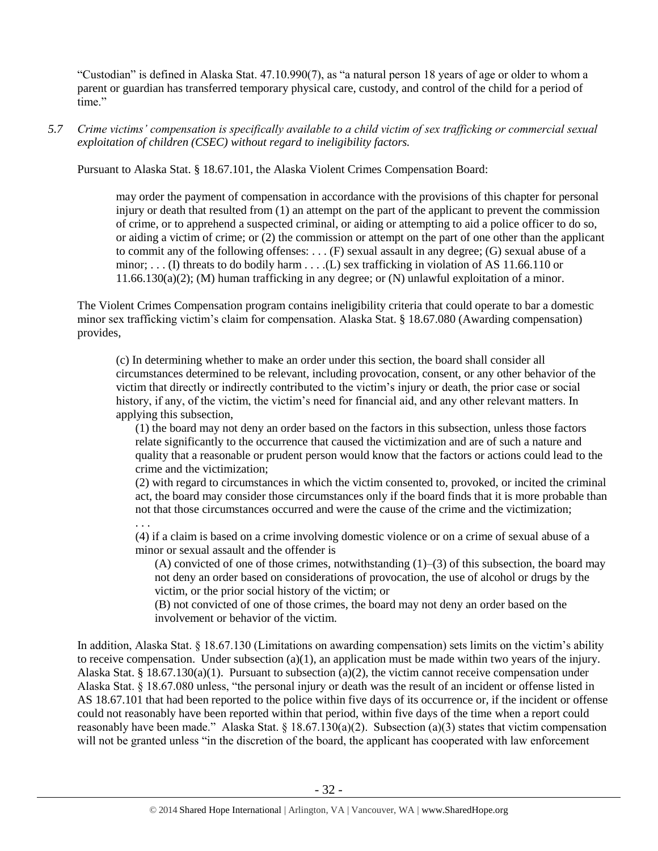"Custodian" is defined in Alaska Stat. 47.10.990(7), as "a natural person 18 years of age or older to whom a parent or guardian has transferred temporary physical care, custody, and control of the child for a period of time."

*5.7 Crime victims' compensation is specifically available to a child victim of sex trafficking or commercial sexual exploitation of children (CSEC) without regard to ineligibility factors.*

Pursuant to Alaska Stat. § 18.67.101, the Alaska Violent Crimes Compensation Board:

may order the payment of compensation in accordance with the provisions of this chapter for personal injury or death that resulted from (1) an attempt on the part of the applicant to prevent the commission of crime, or to apprehend a suspected criminal, or aiding or attempting to aid a police officer to do so, or aiding a victim of crime; or  $(2)$  the commission or attempt on the part of one other than the applicant to commit any of the following offenses: . . . (F) sexual assault in any degree; (G) sexual abuse of a minor; ... (I) threats to do bodily harm ... ... (L) sex trafficking in violation of AS 11.66.110 or 11.66.130(a)(2); (M) human trafficking in any degree; or (N) unlawful exploitation of a minor.

The Violent Crimes Compensation program contains ineligibility criteria that could operate to bar a domestic minor sex trafficking victim's claim for compensation. Alaska Stat. § 18.67.080 (Awarding compensation) provides,

(c) In determining whether to make an order under this section, the board shall consider all circumstances determined to be relevant, including provocation, consent, or any other behavior of the victim that directly or indirectly contributed to the victim's injury or death, the prior case or social history, if any, of the victim, the victim's need for financial aid, and any other relevant matters. In applying this subsection,

(1) the board may not deny an order based on the factors in this subsection, unless those factors relate significantly to the occurrence that caused the victimization and are of such a nature and quality that a reasonable or prudent person would know that the factors or actions could lead to the crime and the victimization;

(2) with regard to circumstances in which the victim consented to, provoked, or incited the criminal act, the board may consider those circumstances only if the board finds that it is more probable than not that those circumstances occurred and were the cause of the crime and the victimization; . . .

(4) if a claim is based on a crime involving domestic violence or on a crime of sexual abuse of a minor or sexual assault and the offender is

(A) convicted of one of those crimes, notwithstanding  $(1)$ –(3) of this subsection, the board may not deny an order based on considerations of provocation, the use of alcohol or drugs by the victim, or the prior social history of the victim; or

(B) not convicted of one of those crimes, the board may not deny an order based on the involvement or behavior of the victim.

In addition, Alaska Stat. § 18.67.130 (Limitations on awarding compensation) sets limits on the victim's ability to receive compensation. Under subsection  $(a)(1)$ , an application must be made within two years of the injury. Alaska Stat. § 18.67.130(a)(1). Pursuant to subsection (a)(2), the victim cannot receive compensation under Alaska Stat. § 18.67.080 unless, "the personal injury or death was the result of an incident or offense listed in AS 18.67.101 that had been reported to the police within five days of its occurrence or, if the incident or offense could not reasonably have been reported within that period, within five days of the time when a report could reasonably have been made." Alaska Stat. § 18.67.130(a)(2). Subsection (a)(3) states that victim compensation will not be granted unless "in the discretion of the board, the applicant has cooperated with law enforcement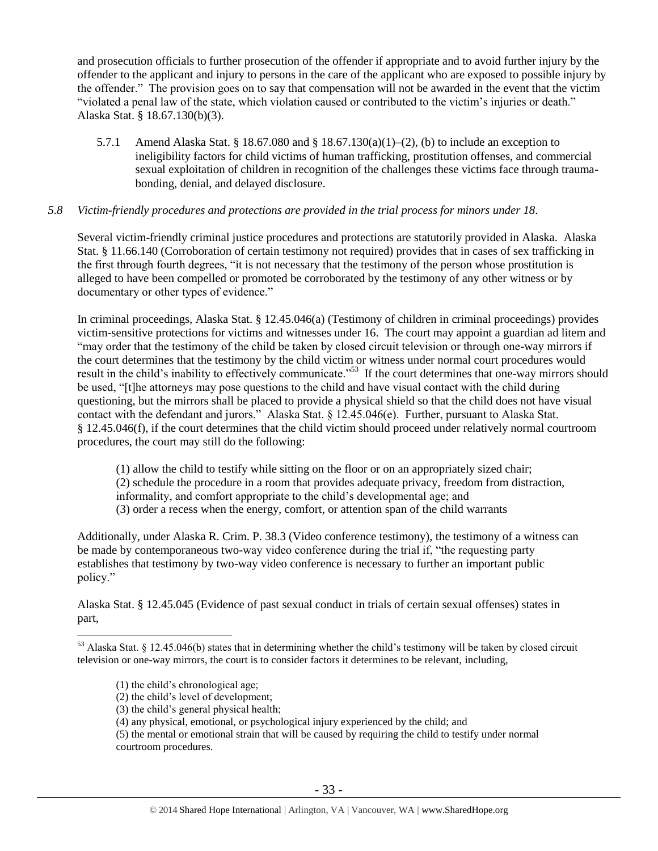and prosecution officials to further prosecution of the offender if appropriate and to avoid further injury by the offender to the applicant and injury to persons in the care of the applicant who are exposed to possible injury by the offender." The provision goes on to say that compensation will not be awarded in the event that the victim "violated a penal law of the state, which violation caused or contributed to the victim's injuries or death." Alaska Stat. § 18.67.130(b)(3).

5.7.1 Amend Alaska Stat. § 18.67.080 and § 18.67.130(a)(1)–(2), (b) to include an exception to ineligibility factors for child victims of human trafficking, prostitution offenses, and commercial sexual exploitation of children in recognition of the challenges these victims face through traumabonding, denial, and delayed disclosure.

## *5.8 Victim-friendly procedures and protections are provided in the trial process for minors under 18.*

Several victim-friendly criminal justice procedures and protections are statutorily provided in Alaska. Alaska Stat. § 11.66.140 (Corroboration of certain testimony not required) provides that in cases of sex trafficking in the first through fourth degrees, "it is not necessary that the testimony of the person whose prostitution is alleged to have been compelled or promoted be corroborated by the testimony of any other witness or by documentary or other types of evidence."

In criminal proceedings, Alaska Stat. § 12.45.046(a) (Testimony of children in criminal proceedings) provides victim-sensitive protections for victims and witnesses under 16. The court may appoint a guardian ad litem and "may order that the testimony of the child be taken by closed circuit television or through one-way mirrors if the court determines that the testimony by the child victim or witness under normal court procedures would result in the child's inability to effectively communicate."<sup>53</sup> If the court determines that one-way mirrors should be used, "[t]he attorneys may pose questions to the child and have visual contact with the child during questioning, but the mirrors shall be placed to provide a physical shield so that the child does not have visual contact with the defendant and jurors." Alaska Stat. § 12.45.046(e). Further, pursuant to Alaska Stat. § 12.45.046(f), if the court determines that the child victim should proceed under relatively normal courtroom procedures, the court may still do the following:

(1) allow the child to testify while sitting on the floor or on an appropriately sized chair; (2) schedule the procedure in a room that provides adequate privacy, freedom from distraction, informality, and comfort appropriate to the child's developmental age; and (3) order a recess when the energy, comfort, or attention span of the child warrants

Additionally, under Alaska R. Crim. P. 38.3 (Video conference testimony), the testimony of a witness can be made by contemporaneous two-way video conference during the trial if, "the requesting party establishes that testimony by two-way video conference is necessary to further an important public policy."

Alaska Stat. § 12.45.045 (Evidence of past sexual conduct in trials of certain sexual offenses) states in part,

(1) the child's chronological age;

- (2) the child's level of development;
- (3) the child's general physical health;

<sup>53</sup> Alaska Stat. § 12.45.046(b) states that in determining whether the child's testimony will be taken by closed circuit television or one-way mirrors, the court is to consider factors it determines to be relevant, including,

<sup>(4)</sup> any physical, emotional, or psychological injury experienced by the child; and

<sup>(5)</sup> the mental or emotional strain that will be caused by requiring the child to testify under normal courtroom procedures.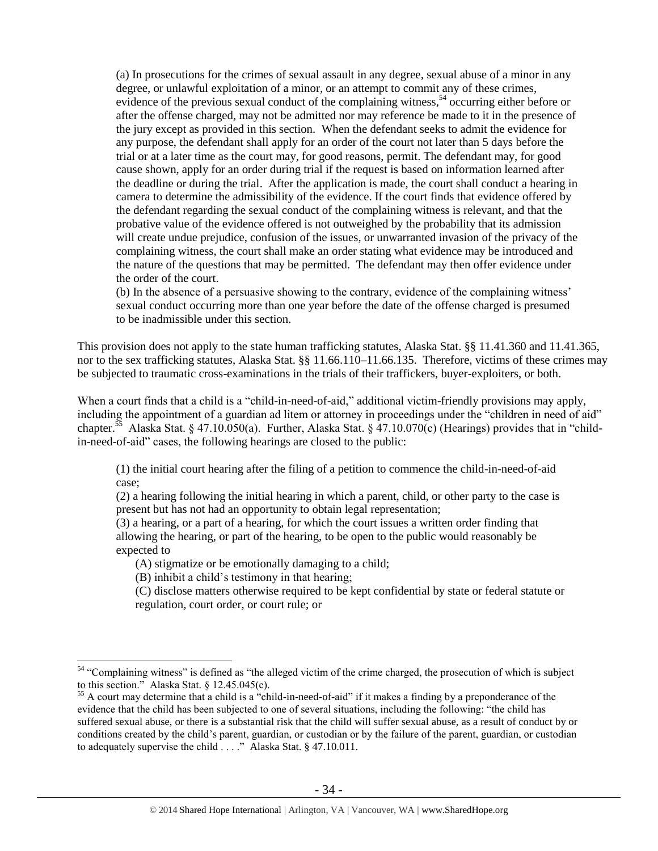(a) In prosecutions for the crimes of sexual assault in any degree, sexual abuse of a minor in any degree, or unlawful exploitation of a minor, or an attempt to commit any of these crimes, evidence of the previous sexual conduct of the complaining witness,<sup>54</sup> occurring either before or after the offense charged, may not be admitted nor may reference be made to it in the presence of the jury except as provided in this section. When the defendant seeks to admit the evidence for any purpose, the defendant shall apply for an order of the court not later than 5 days before the trial or at a later time as the court may, for good reasons, permit. The defendant may, for good cause shown, apply for an order during trial if the request is based on information learned after the deadline or during the trial. After the application is made, the court shall conduct a hearing in camera to determine the admissibility of the evidence. If the court finds that evidence offered by the defendant regarding the sexual conduct of the complaining witness is relevant, and that the probative value of the evidence offered is not outweighed by the probability that its admission will create undue prejudice, confusion of the issues, or unwarranted invasion of the privacy of the complaining witness, the court shall make an order stating what evidence may be introduced and the nature of the questions that may be permitted. The defendant may then offer evidence under the order of the court.

(b) In the absence of a persuasive showing to the contrary, evidence of the complaining witness' sexual conduct occurring more than one year before the date of the offense charged is presumed to be inadmissible under this section.

This provision does not apply to the state human trafficking statutes, Alaska Stat. §§ 11.41.360 and 11.41.365, nor to the sex trafficking statutes, Alaska Stat. §§ 11.66.110–11.66.135. Therefore, victims of these crimes may be subjected to traumatic cross-examinations in the trials of their traffickers, buyer-exploiters, or both.

When a court finds that a child is a "child-in-need-of-aid," additional victim-friendly provisions may apply, including the appointment of a guardian ad litem or attorney in proceedings under the "children in need of aid" chapter.<sup>55</sup> Alaska Stat. § 47.10.050(a). Further, Alaska Stat. § 47.10.070(c) (Hearings) provides that in "childin-need-of-aid" cases, the following hearings are closed to the public:

(1) the initial court hearing after the filing of a petition to commence the child-in-need-of-aid case;

(2) a hearing following the initial hearing in which a parent, child, or other party to the case is present but has not had an opportunity to obtain legal representation;

(3) a hearing, or a part of a hearing, for which the court issues a written order finding that allowing the hearing, or part of the hearing, to be open to the public would reasonably be expected to

(A) stigmatize or be emotionally damaging to a child;

(B) inhibit a child's testimony in that hearing;

 $\overline{a}$ 

(C) disclose matters otherwise required to be kept confidential by state or federal statute or regulation, court order, or court rule; or

<sup>&</sup>lt;sup>54</sup> "Complaining witness" is defined as "the alleged victim of the crime charged, the prosecution of which is subject to this section." Alaska Stat. § 12.45.045(c).

<sup>&</sup>lt;sup>55</sup> A court may determine that a child is a "child-in-need-of-aid" if it makes a finding by a preponderance of the evidence that the child has been subjected to one of several situations, including the following: "the child has suffered sexual abuse, or there is a substantial risk that the child will suffer sexual abuse, as a result of conduct by or conditions created by the child's parent, guardian, or custodian or by the failure of the parent, guardian, or custodian to adequately supervise the child . . . ." Alaska Stat. § 47.10.011.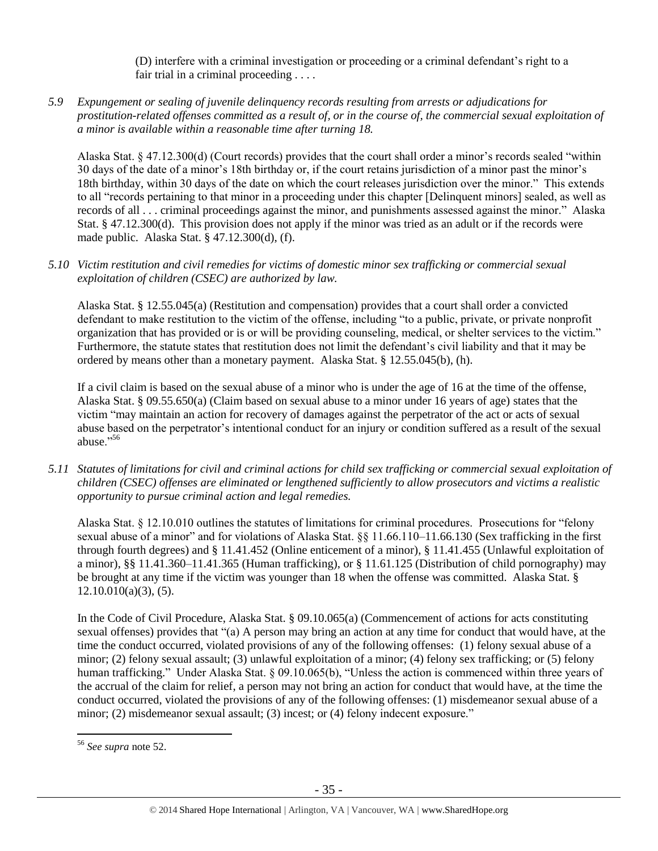(D) interfere with a criminal investigation or proceeding or a criminal defendant's right to a fair trial in a criminal proceeding . . . .

*5.9 Expungement or sealing of juvenile delinquency records resulting from arrests or adjudications for prostitution-related offenses committed as a result of, or in the course of, the commercial sexual exploitation of a minor is available within a reasonable time after turning 18.*

Alaska Stat. § 47.12.300(d) (Court records) provides that the court shall order a minor's records sealed "within 30 days of the date of a minor's 18th birthday or, if the court retains jurisdiction of a minor past the minor's 18th birthday, within 30 days of the date on which the court releases jurisdiction over the minor." This extends to all "records pertaining to that minor in a proceeding under this chapter [Delinquent minors] sealed, as well as records of all . . . criminal proceedings against the minor, and punishments assessed against the minor." Alaska Stat. § 47.12.300(d). This provision does not apply if the minor was tried as an adult or if the records were made public. Alaska Stat. § 47.12.300(d), (f).

## *5.10 Victim restitution and civil remedies for victims of domestic minor sex trafficking or commercial sexual exploitation of children (CSEC) are authorized by law.*

Alaska Stat. § 12.55.045(a) (Restitution and compensation) provides that a court shall order a convicted defendant to make restitution to the victim of the offense, including "to a public, private, or private nonprofit organization that has provided or is or will be providing counseling, medical, or shelter services to the victim." Furthermore, the statute states that restitution does not limit the defendant's civil liability and that it may be ordered by means other than a monetary payment. Alaska Stat. § 12.55.045(b), (h).

If a civil claim is based on the sexual abuse of a minor who is under the age of 16 at the time of the offense, Alaska Stat. § 09.55.650(a) (Claim based on sexual abuse to a minor under 16 years of age) states that the victim "may maintain an action for recovery of damages against the perpetrator of the act or acts of sexual abuse based on the perpetrator's intentional conduct for an injury or condition suffered as a result of the sexual abuse."<sup>56</sup>

*5.11 Statutes of limitations for civil and criminal actions for child sex trafficking or commercial sexual exploitation of children (CSEC) offenses are eliminated or lengthened sufficiently to allow prosecutors and victims a realistic opportunity to pursue criminal action and legal remedies.*

Alaska Stat. § 12.10.010 outlines the statutes of limitations for criminal procedures. Prosecutions for "felony sexual abuse of a minor" and for violations of Alaska Stat. §§ 11.66.110–11.66.130 (Sex trafficking in the first through fourth degrees) and § 11.41.452 (Online enticement of a minor), § 11.41.455 (Unlawful exploitation of a minor), §§ 11.41.360–11.41.365 (Human trafficking), or § 11.61.125 (Distribution of child pornography) may be brought at any time if the victim was younger than 18 when the offense was committed. Alaska Stat. §  $12.10.010(a)(3)$ , (5).

In the Code of Civil Procedure, Alaska Stat. § 09.10.065(a) (Commencement of actions for acts constituting sexual offenses) provides that "(a) A person may bring an action at any time for conduct that would have, at the time the conduct occurred, violated provisions of any of the following offenses: (1) felony sexual abuse of a minor; (2) felony sexual assault; (3) unlawful exploitation of a minor; (4) felony sex trafficking; or (5) felony human trafficking." Under Alaska Stat. § 09.10.065(b), "Unless the action is commenced within three years of the accrual of the claim for relief, a person may not bring an action for conduct that would have, at the time the conduct occurred, violated the provisions of any of the following offenses: (1) misdemeanor sexual abuse of a minor; (2) misdemeanor sexual assault; (3) incest; or (4) felony indecent exposure."

<sup>56</sup> *See supra* note [52.](#page-30-0)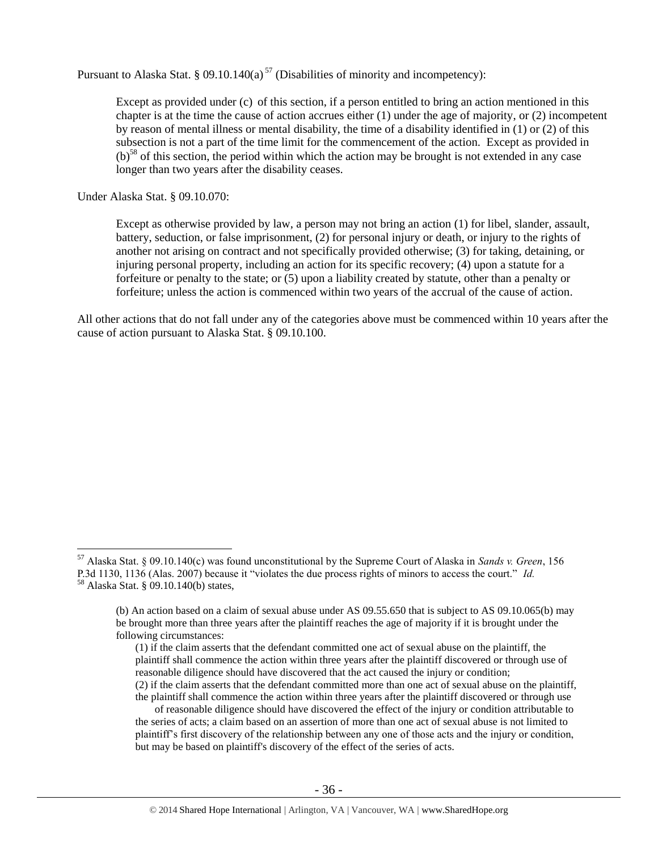Pursuant to Alaska Stat. § 09.10.140(a)<sup>57</sup> (Disabilities of minority and incompetency):

Except as provided under (c) of this section, if a person entitled to bring an action mentioned in this chapter is at the time the cause of action accrues either (1) under the age of majority, or (2) incompetent by reason of mental illness or mental disability, the time of a disability identified in (1) or (2) of this subsection is not a part of the time limit for the commencement of the action. Except as provided in  $(b)^{58}$  of this section, the period within which the action may be brought is not extended in any case longer than two years after the disability ceases.

Under Alaska Stat. § 09.10.070:

 $\overline{a}$ 

Except as otherwise provided by law, a person may not bring an action (1) for libel, slander, assault, battery, seduction, or false imprisonment, (2) for personal injury or death, or injury to the rights of another not arising on contract and not specifically provided otherwise; (3) for taking, detaining, or injuring personal property, including an action for its specific recovery; (4) upon a statute for a forfeiture or penalty to the state; or (5) upon a liability created by statute, other than a penalty or forfeiture; unless the action is commenced within two years of the accrual of the cause of action.

All other actions that do not fall under any of the categories above must be commenced within 10 years after the cause of action pursuant to Alaska Stat. § 09.10.100.

<sup>57</sup> Alaska Stat. § 09.10.140(c) was found unconstitutional by the Supreme Court of Alaska in *Sands v. Green*, 156 P.3d 1130, 1136 (Alas. 2007) because it "violates the due process rights of minors to access the court." *Id.* <sup>58</sup> Alaska Stat. § 09.10.140(b) states,

<sup>(</sup>b) An action based on a claim of sexual abuse under AS 09.55.650 that is subject to AS 09.10.065(b) may be brought more than three years after the plaintiff reaches the age of majority if it is brought under the following circumstances:

<sup>(1)</sup> if the claim asserts that the defendant committed one act of sexual abuse on the plaintiff, the plaintiff shall commence the action within three years after the plaintiff discovered or through use of reasonable diligence should have discovered that the act caused the injury or condition; (2) if the claim asserts that the defendant committed more than one act of sexual abuse on the plaintiff,

the plaintiff shall commence the action within three years after the plaintiff discovered or through use of reasonable diligence should have discovered the effect of the injury or condition attributable to the series of acts; a claim based on an assertion of more than one act of sexual abuse is not limited to plaintiff's first discovery of the relationship between any one of those acts and the injury or condition, but may be based on plaintiff's discovery of the effect of the series of acts.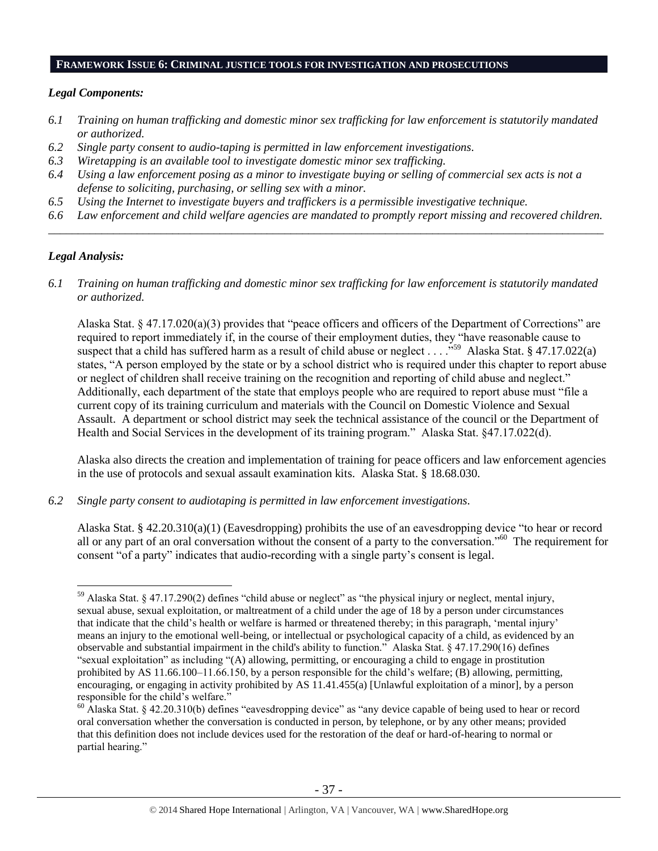#### **FRAMEWORK ISSUE 6: CRIMINAL JUSTICE TOOLS FOR INVESTIGATION AND PROSECUTIONS**

#### *Legal Components:*

- *6.1 Training on human trafficking and domestic minor sex trafficking for law enforcement is statutorily mandated or authorized.*
- *6.2 Single party consent to audio-taping is permitted in law enforcement investigations.*
- *6.3 Wiretapping is an available tool to investigate domestic minor sex trafficking.*
- *6.4 Using a law enforcement posing as a minor to investigate buying or selling of commercial sex acts is not a defense to soliciting, purchasing, or selling sex with a minor.*
- *6.5 Using the Internet to investigate buyers and traffickers is a permissible investigative technique.*
- *6.6 Law enforcement and child welfare agencies are mandated to promptly report missing and recovered children. \_\_\_\_\_\_\_\_\_\_\_\_\_\_\_\_\_\_\_\_\_\_\_\_\_\_\_\_\_\_\_\_\_\_\_\_\_\_\_\_\_\_\_\_\_\_\_\_\_\_\_\_\_\_\_\_\_\_\_\_\_\_\_\_\_\_\_\_\_\_\_\_\_\_\_\_\_\_\_\_\_\_\_\_\_\_\_\_\_\_\_\_\_\_*

## *Legal Analysis:*

 $\overline{a}$ 

*6.1 Training on human trafficking and domestic minor sex trafficking for law enforcement is statutorily mandated or authorized.*

Alaska Stat. § 47.17.020(a)(3) provides that "peace officers and officers of the Department of Corrections" are required to report immediately if, in the course of their employment duties, they "have reasonable cause to suspect that a child has suffered harm as a result of child abuse or neglect ... ...<sup>559</sup> Alaska Stat. § 47.17.022(a) states, "A person employed by the state or by a school district who is required under this chapter to report abuse or neglect of children shall receive training on the recognition and reporting of child abuse and neglect." Additionally, each department of the state that employs people who are required to report abuse must "file a current copy of its training curriculum and materials with the Council on Domestic Violence and Sexual Assault. A department or school district may seek the technical assistance of the council or the Department of Health and Social Services in the development of its training program." Alaska Stat. §47.17.022(d).

Alaska also directs the creation and implementation of training for peace officers and law enforcement agencies in the use of protocols and sexual assault examination kits. Alaska Stat. § 18.68.030.

*6.2 Single party consent to audiotaping is permitted in law enforcement investigations.*

Alaska Stat. § 42.20.310(a)(1) (Eavesdropping) prohibits the use of an eavesdropping device "to hear or record all or any part of an oral conversation without the consent of a party to the conversation."<sup>60</sup> The requirement for consent "of a party" indicates that audio-recording with a single party's consent is legal.

<sup>59</sup> Alaska Stat. § 47.17.290(2) defines "child abuse or neglect" as "the physical injury or neglect, mental injury, sexual abuse, sexual exploitation, or maltreatment of a child under the age of 18 by a person under circumstances that indicate that the child's health or welfare is harmed or threatened thereby; in this paragraph, 'mental injury' means an injury to the emotional well-being, or intellectual or psychological capacity of a child, as evidenced by an observable and substantial impairment in the child's ability to function." Alaska Stat. § 47.17.290(16) defines "sexual exploitation" as including "(A) allowing, permitting, or encouraging a child to engage in prostitution prohibited by AS 11.66.100–11.66.150, by a person responsible for the child's welfare; (B) allowing, permitting, encouraging, or engaging in activity prohibited by AS 11.41.455(a) [Unlawful exploitation of a minor], by a person responsible for the child's welfare."

 $60$  Alaska Stat. § 42.20.310(b) defines "eavesdropping device" as "any device capable of being used to hear or record oral conversation whether the conversation is conducted in person, by telephone, or by any other means; provided that this definition does not include devices used for the restoration of the deaf or hard-of-hearing to normal or partial hearing."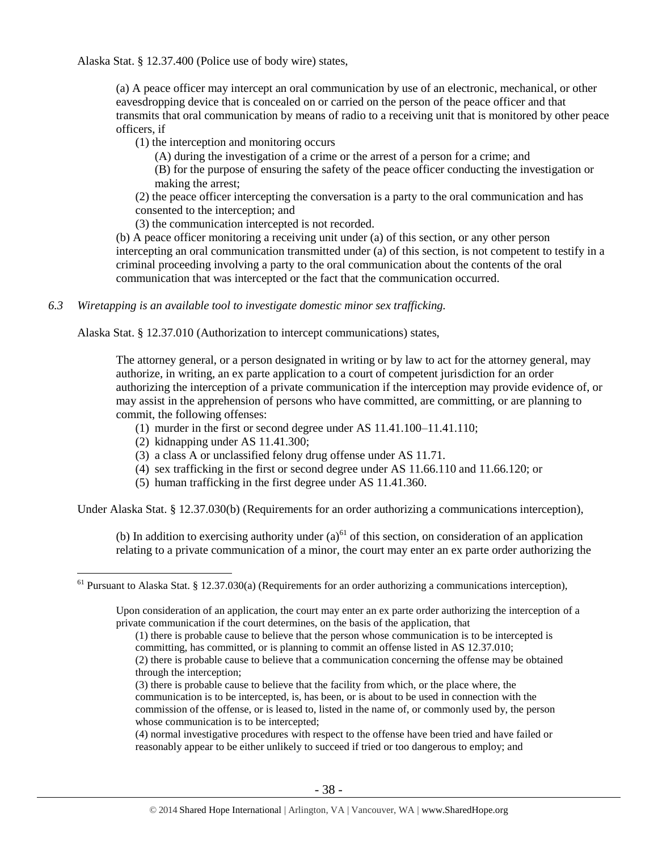Alaska Stat. § 12.37.400 (Police use of body wire) states,

(a) A peace officer may intercept an oral communication by use of an electronic, mechanical, or other eavesdropping device that is concealed on or carried on the person of the peace officer and that transmits that oral communication by means of radio to a receiving unit that is monitored by other peace officers, if

(1) the interception and monitoring occurs

(A) during the investigation of a crime or the arrest of a person for a crime; and

(B) for the purpose of ensuring the safety of the peace officer conducting the investigation or making the arrest;

(2) the peace officer intercepting the conversation is a party to the oral communication and has consented to the interception; and

(3) the communication intercepted is not recorded.

(b) A peace officer monitoring a receiving unit under (a) of this section, or any other person intercepting an oral communication transmitted under (a) of this section, is not competent to testify in a criminal proceeding involving a party to the oral communication about the contents of the oral communication that was intercepted or the fact that the communication occurred.

*6.3 Wiretapping is an available tool to investigate domestic minor sex trafficking.* 

Alaska Stat. § 12.37.010 (Authorization to intercept communications) states,

The attorney general, or a person designated in writing or by law to act for the attorney general, may authorize, in writing, an ex parte application to a court of competent jurisdiction for an order authorizing the interception of a private communication if the interception may provide evidence of, or may assist in the apprehension of persons who have committed, are committing, or are planning to commit, the following offenses:

- (1) murder in the first or second degree under AS 11.41.100–11.41.110;
- (2) kidnapping under AS 11.41.300;

 $\overline{a}$ 

- (3) a class A or unclassified felony drug offense under AS 11.71.
- (4) sex trafficking in the first or second degree under AS 11.66.110 and 11.66.120; or
- (5) human trafficking in the first degree under AS 11.41.360.

Under Alaska Stat. § 12.37.030(b) (Requirements for an order authorizing a communications interception),

(b) In addition to exercising authority under  $(a)$ <sup>61</sup> of this section, on consideration of an application relating to a private communication of a minor, the court may enter an ex parte order authorizing the

(4) normal investigative procedures with respect to the offense have been tried and have failed or reasonably appear to be either unlikely to succeed if tried or too dangerous to employ; and

 $61$  Pursuant to Alaska Stat. § 12.37.030(a) (Requirements for an order authorizing a communications interception),

Upon consideration of an application, the court may enter an ex parte order authorizing the interception of a private communication if the court determines, on the basis of the application, that

<sup>(1)</sup> there is probable cause to believe that the person whose communication is to be intercepted is committing, has committed, or is planning to commit an offense listed in AS 12.37.010;

<sup>(2)</sup> there is probable cause to believe that a communication concerning the offense may be obtained through the interception;

<sup>(3)</sup> there is probable cause to believe that the facility from which, or the place where, the communication is to be intercepted, is, has been, or is about to be used in connection with the commission of the offense, or is leased to, listed in the name of, or commonly used by, the person whose communication is to be intercepted;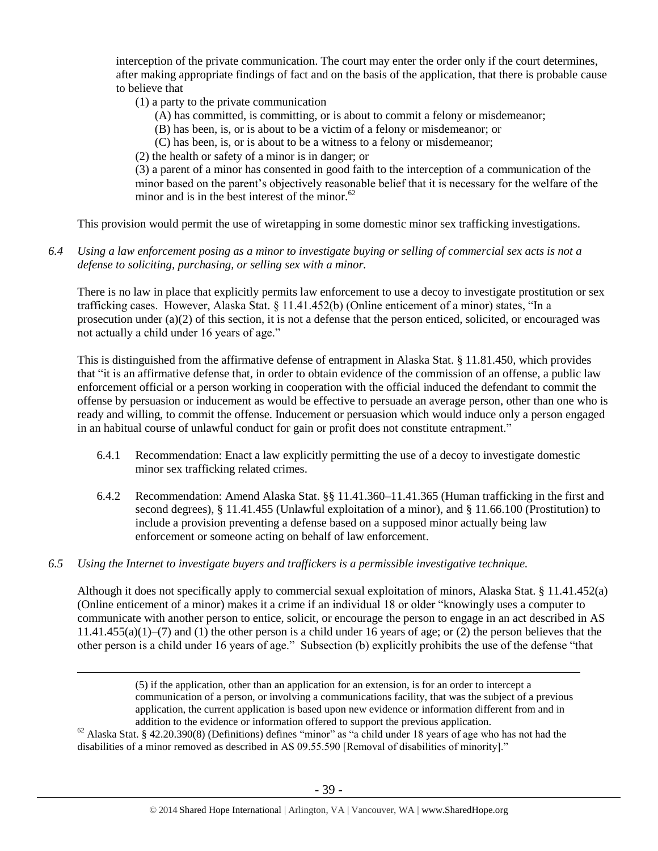interception of the private communication. The court may enter the order only if the court determines, after making appropriate findings of fact and on the basis of the application, that there is probable cause to believe that

- (1) a party to the private communication
	- (A) has committed, is committing, or is about to commit a felony or misdemeanor;
	- (B) has been, is, or is about to be a victim of a felony or misdemeanor; or
	- (C) has been, is, or is about to be a witness to a felony or misdemeanor;
- (2) the health or safety of a minor is in danger; or

(3) a parent of a minor has consented in good faith to the interception of a communication of the minor based on the parent's objectively reasonable belief that it is necessary for the welfare of the minor and is in the best interest of the minor. $^{62}$ 

This provision would permit the use of wiretapping in some domestic minor sex trafficking investigations.

*6.4 Using a law enforcement posing as a minor to investigate buying or selling of commercial sex acts is not a defense to soliciting, purchasing, or selling sex with a minor.*

There is no law in place that explicitly permits law enforcement to use a decoy to investigate prostitution or sex trafficking cases. However, Alaska Stat. § 11.41.452(b) (Online enticement of a minor) states, "In a prosecution under (a)(2) of this section, it is not a defense that the person enticed, solicited, or encouraged was not actually a child under 16 years of age."

This is distinguished from the affirmative defense of entrapment in Alaska Stat. § 11.81.450, which provides that "it is an affirmative defense that, in order to obtain evidence of the commission of an offense, a public law enforcement official or a person working in cooperation with the official induced the defendant to commit the offense by persuasion or inducement as would be effective to persuade an average person, other than one who is ready and willing, to commit the offense. Inducement or persuasion which would induce only a person engaged in an habitual course of unlawful conduct for gain or profit does not constitute entrapment."

- 6.4.1 Recommendation: Enact a law explicitly permitting the use of a decoy to investigate domestic minor sex trafficking related crimes.
- 6.4.2 Recommendation: Amend Alaska Stat. §§ 11.41.360–11.41.365 (Human trafficking in the first and second degrees), § 11.41.455 (Unlawful exploitation of a minor), and § 11.66.100 (Prostitution) to include a provision preventing a defense based on a supposed minor actually being law enforcement or someone acting on behalf of law enforcement.
- *6.5 Using the Internet to investigate buyers and traffickers is a permissible investigative technique.*

 $\overline{a}$ 

Although it does not specifically apply to commercial sexual exploitation of minors, Alaska Stat. § 11.41.452(a) (Online enticement of a minor) makes it a crime if an individual 18 or older "knowingly uses a computer to communicate with another person to entice, solicit, or encourage the person to engage in an act described in AS  $11.41.455(a)(1)$ –(7) and (1) the other person is a child under 16 years of age; or (2) the person believes that the other person is a child under 16 years of age." Subsection (b) explicitly prohibits the use of the defense "that

 $^{62}$  Alaska Stat. § 42.20.390(8) (Definitions) defines "minor" as "a child under 18 years of age who has not had the disabilities of a minor removed as described in AS 09.55.590 [Removal of disabilities of minority]."

<sup>(5)</sup> if the application, other than an application for an extension, is for an order to intercept a communication of a person, or involving a communications facility, that was the subject of a previous application, the current application is based upon new evidence or information different from and in addition to the evidence or information offered to support the previous application.